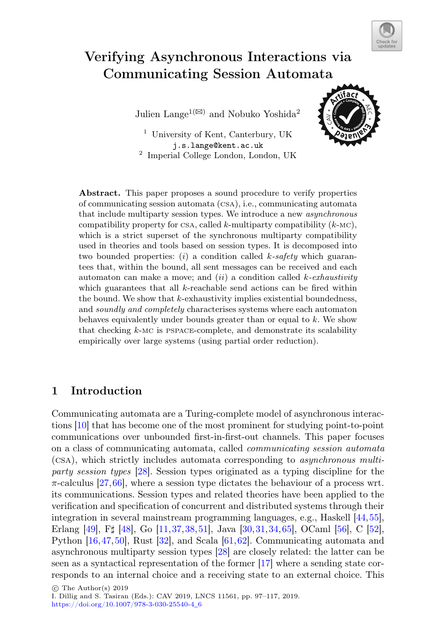

# Verifying Asynchronous Interactions via Communicating Session Automata

Julien Lange<sup>1( $\boxtimes$ )</sup> and Nobuko Yoshida<sup>2</sup>

<sup>1</sup> University of Kent, Canterbury, UK j.s.lange@kent.ac.uk  $2$  Imperial College London, London, UK



Abstract. This paper proposes a sound procedure to verify properties of communicating session automata (csa), i.e., communicating automata that include multiparty session types. We introduce a new *asynchronous* compatibility property for CSA, called k-multiparty compatibility  $(k-MC)$ , which is a strict superset of the synchronous multiparty compatibility used in theories and tools based on session types. It is decomposed into two bounded properties: (i) a condition called k*-safety* which guarantees that, within the bound, all sent messages can be received and each automaton can make a move; and (ii) a condition called k*-exhaustivity* which guarantees that all  $k$ -reachable send actions can be fired within the bound. We show that  $k$ -exhaustivity implies existential boundedness, and *soundly and completely* characterises systems where each automaton behaves equivalently under bounds greater than or equal to  $k$ . We show that checking  $k$ -MC is PSPACE-complete, and demonstrate its scalability empirically over large systems (using partial order reduction).

# 1 Introduction

Communicating automata are a Turing-complete model of asynchronous interactions [\[10](#page-17-0)] that has become one of the most prominent for studying point-to-point communications over unbounded first-in-first-out channels. This paper focuses on a class of communicating automata, called *communicating session automata* (csa), which strictly includes automata corresponding to *asynchronous multiparty session types* [\[28](#page-18-0)]. Session types originated as a typing discipline for the  $\pi$ -calculus [\[27](#page-18-1),[66\]](#page-20-0), where a session type dictates the behaviour of a process wrt. its communications. Session types and related theories have been applied to the verification and specification of concurrent and distributed systems through their integration in several mainstream programming languages, e.g., Haskell [\[44](#page-19-0),[55\]](#page-19-1), Erlang [\[49](#page-19-2)], F<sup>[[\[48\]](#page-19-3)</sup>, Go [\[11,](#page-17-1)[37](#page-19-4)[,38](#page-19-5)[,51](#page-19-6)], Java [\[30,](#page-18-2)[31](#page-18-3)[,34](#page-18-4)[,65](#page-20-1)], OCaml [\[56](#page-19-7)], C [\[52\]](#page-19-8), Python [\[16,](#page-17-2)[47,](#page-19-9)[50](#page-19-10)], Rust [\[32](#page-18-5)], and Scala [\[61,](#page-20-2)[62\]](#page-20-3). Communicating automata and asynchronous multiparty session types [\[28](#page-18-0)] are closely related: the latter can be seen as a syntactical representation of the former [\[17\]](#page-17-3) where a sending state corresponds to an internal choice and a receiving state to an external choice. This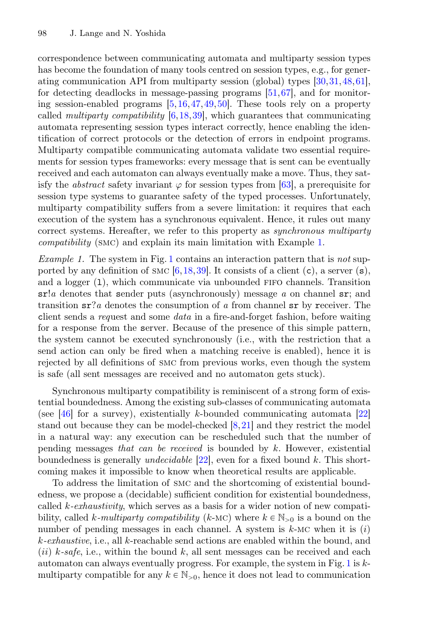correspondence between communicating automata and multiparty session types has become the foundation of many tools centred on session types, e.g., for generating communication API from multiparty session (global) types [\[30,](#page-18-2)[31](#page-18-3)[,48,](#page-19-3)[61\]](#page-20-2), for detecting deadlocks in message-passing programs [\[51](#page-19-6)[,67](#page-20-4)], and for monitoring session-enabled programs [\[5](#page-17-4),[16,](#page-17-2)[47](#page-19-9)[,49](#page-19-2),[50\]](#page-19-10). These tools rely on a property called *multiparty compatibility* [\[6](#page-17-5)[,18](#page-18-6)[,39](#page-19-11)], which guarantees that communicating automata representing session types interact correctly, hence enabling the identification of correct protocols or the detection of errors in endpoint programs. Multiparty compatible communicating automata validate two essential requirements for session types frameworks: every message that is sent can be eventually received and each automaton can always eventually make a move. Thus, they satisfy the *abstract* safety invariant  $\varphi$  for session types from [\[63](#page-20-5)], a prerequisite for session type systems to guarantee safety of the typed processes. Unfortunately, multiparty compatibility suffers from a severe limitation: it requires that each execution of the system has a synchronous equivalent. Hence, it rules out many correct systems. Hereafter, we refer to this property as *synchronous multiparty compatibility* (smc) and explain its main limitation with Example [1.](#page-1-0)

<span id="page-1-0"></span>*Example 1.* The system in Fig. [1](#page-2-0) contains an interaction pattern that is *not* supported by any definition of smc  $[6,18,39]$  $[6,18,39]$  $[6,18,39]$  $[6,18,39]$ . It consists of a client  $(c)$ , a server  $(s)$ , and a logger (1), which communicate via unbounded FIFO channels. Transition sr!*a* denotes that sender puts (asynchronously) message *a* on channel sr; and transition sr?*a* denotes the consumption of *a* from channel sr by receiver. The client sends a *req*uest and some *data* in a fire-and-forget fashion, before waiting for a response from the server. Because of the presence of this simple pattern, the system cannot be executed synchronously (i.e., with the restriction that a send action can only be fired when a matching receive is enabled), hence it is rejected by all definitions of smc from previous works, even though the system is safe (all sent messages are received and no automaton gets stuck).

Synchronous multiparty compatibility is reminiscent of a strong form of existential boundedness. Among the existing sub-classes of communicating automata (see  $[46]$  $[46]$  for a survey), existentially k-bounded communicating automata  $[22]$  $[22]$ stand out because they can be model-checked [\[8](#page-17-6),[21\]](#page-18-8) and they restrict the model in a natural way: any execution can be rescheduled such that the number of pending messages *that can be received* is bounded by k. However, existential boundedness is generally *undecidable* [\[22](#page-18-7)], even for a fixed bound k. This shortcoming makes it impossible to know when theoretical results are applicable.

To address the limitation of smc and the shortcoming of existential boundedness, we propose a (decidable) sufficient condition for existential boundedness, called k*-exhaustivity*, which serves as a basis for a wider notion of new compatibility, called k-multiparty compatibility (k-MC) where  $k \in \mathbb{N}_{\geq 0}$  is a bound on the number of pending messages in each channel. A system is  $k$ -MC when it is  $(i)$ k*-exhaustive*, i.e., all k-reachable send actions are enabled within the bound, and  $(ii)$   $k$ -safe, i.e., within the bound  $k$ , all sent messages can be received and each automaton can always eventually progress. For example, the system in Fig. [1](#page-2-0) is kmultiparty compatible for any  $k \in \mathbb{N}_{>0}$ , hence it does not lead to communication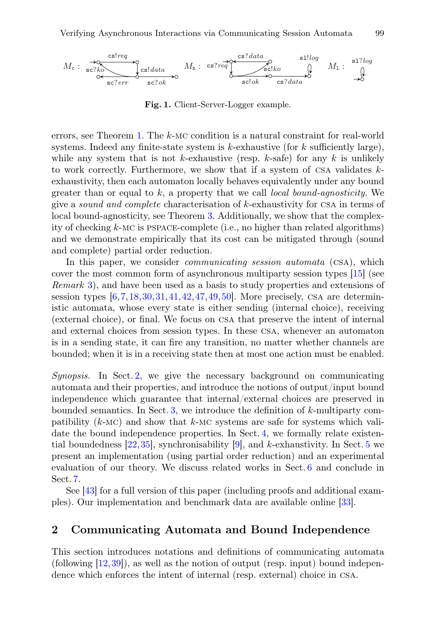

<span id="page-2-0"></span>Fig. 1. Client-Server-Logger example.

errors, see Theorem [1.](#page-7-0) The <sup>k</sup>-mc condition is a natural constraint for real-world systems. Indeed any finite-state system is  $k$ -exhaustive (for k sufficiently large), while any system that is not k-exhaustive (resp. k-safe) for any k is unlikely to work correctly. Furthermore, we show that if a system of CSA validates  $k$ exhaustivity, then each automaton locally behaves equivalently under any bound greater than or equal to k, a property that we call *local bound-agnosticity*. We give a *sound and complete* characterisation of <sup>k</sup>-exhaustivity for csa in terms of local bound-agnosticity, see Theorem [3.](#page-8-0) Additionally, we show that the complexity of checking  $k$ -MC is PSPACE-complete (i.e., no higher than related algorithms) and we demonstrate empirically that its cost can be mitigated through (sound and complete) partial order reduction.

In this paper, we consider *communicating session automata* (csa), which cover the most common form of asynchronous multiparty session types [\[15\]](#page-17-7) (see *Remark* [3\)](#page-5-0), and have been used as a basis to study properties and extensions of session types  $[6,7,18,30,31,41,42,47,49,50]$  $[6,7,18,30,31,41,42,47,49,50]$  $[6,7,18,30,31,41,42,47,49,50]$  $[6,7,18,30,31,41,42,47,49,50]$  $[6,7,18,30,31,41,42,47,49,50]$  $[6,7,18,30,31,41,42,47,49,50]$  $[6,7,18,30,31,41,42,47,49,50]$  $[6,7,18,30,31,41,42,47,49,50]$  $[6,7,18,30,31,41,42,47,49,50]$  $[6,7,18,30,31,41,42,47,49,50]$  $[6,7,18,30,31,41,42,47,49,50]$  $[6,7,18,30,31,41,42,47,49,50]$  $[6,7,18,30,31,41,42,47,49,50]$ . More precisely, CSA are deterministic automata, whose every state is either sending (internal choice), receiving (external choice), or final. We focus on csa that preserve the intent of internal and external choices from session types. In these csa, whenever an automaton is in a sending state, it can fire any transition, no matter whether channels are bounded; when it is in a receiving state then at most one action must be enabled.

*Synopsis.* In Sect. [2,](#page-2-1) we give the necessary background on communicating automata and their properties, and introduce the notions of output/input bound independence which guarantee that internal/external choices are preserved in bounded semantics. In Sect. [3,](#page-5-1) we introduce the definition of  $k$ -multiparty compatibility  $(k-MC)$  and show that  $k-MC$  systems are safe for systems which validate the bound independence properties. In Sect. [4,](#page-9-0) we formally relate existential boundedness  $[22,35]$  $[22,35]$  $[22,35]$ , synchronisability  $[9]$  $[9]$ , and k-exhaustivity. In Sect. [5](#page-13-0) we present an implementation (using partial order reduction) and an experimental evaluation of our theory. We discuss related works in Sect. [6](#page-14-0) and conclude in Sect. [7.](#page-16-0)

See [\[43](#page-19-15)] for a full version of this paper (including proofs and additional examples). Our implementation and benchmark data are available online [\[33\]](#page-18-10).

## <span id="page-2-1"></span>2 Communicating Automata and Bound Independence

This section introduces notations and definitions of communicating automata (following  $[12,39]$  $[12,39]$  $[12,39]$ ), as well as the notion of output (resp. input) bound independence which enforces the intent of internal (resp. external) choice in csa.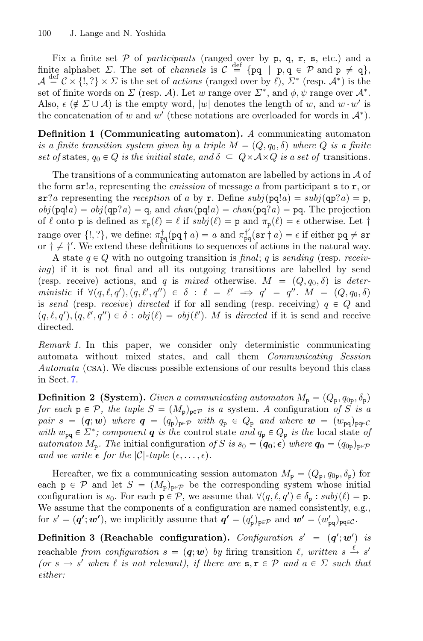Fix a finite set  $P$  of *participants* (ranged over by  $p$ ,  $q$ ,  $r$ ,  $s$ , etc.) and a finite alphabet  $\Sigma$ . The set of *channels* is  $C \stackrel{\text{def}}{=} \{ pq \mid p, q \in \mathcal{P} \text{ and } p \neq q \},$  $\mathcal{A} \stackrel{\text{def}}{=} C \times \{1, ?\} \times \Sigma$  is the set of *actions* (ranged over by  $\ell$ ),  $\Sigma^*$  (resp.  $\mathcal{A}^*$ ) is the set of finite words on  $\Sigma$  (resp. A). Let w range over  $\Sigma^*$ , and  $\phi, \psi$  range over  $\mathcal{A}^*$ . Also,  $\epsilon$  ( $\notin \Sigma \cup \mathcal{A}$ ) is the empty word, |w| denotes the length of w, and w · w' is the concatenation of w and w' (these notations are overloaded for words in  $\mathcal{A}^*$ ).

Definition 1 (Communicating automaton). *A* communicating automaton *is a finite transition system given by a triple*  $M = (Q, q_0, \delta)$  where Q *is a finite set of* states,  $q_0 \in Q$  *is the initial state, and*  $\delta \subseteq Q \times A \times Q$  *is a set of transitions.* 

The transitions of a communicating automaton are labelled by actions in  $A$  of the form sr!*a*, representing the *emission* of message a from participant s to r, or  $sr$ ?*a* representing the *reception* of a by r. Define  $subj(pq!a) = subj(qp?a) = p$ ,  $obj(pq!a) = obj(qp?a) = q$ , and  $chan(pq!a) = chan(pq?a) = pq$ . The projection of  $\ell$  onto p is defined as  $\pi_{p}(\ell) = \ell$  if  $subj(\ell) = p$  and  $\pi_{p}(\ell) = \epsilon$  otherwise. Let  $\dagger$ range over  $\{1, ?\}$ , we define:  $\pi_{pq}^{\dagger}(\mathbf{p}\mathbf{q} \dagger a) = a$  and  $\pi_{pq}^{\dagger'}(\mathbf{sr} \dagger a) = \epsilon$  if either  $pq \neq \mathbf{sr}$ or  $\dagger \neq \dagger'$ . We extend these definitions to sequences of actions in the natural way.

A state  $q \in Q$  with no outgoing transition is *final*; q is *sending* (resp. *receiving*) if it is not final and all its outgoing transitions are labelled by send (resp. receive) actions, and q is *mixed* otherwise.  $M = (Q, q_0, \delta)$  is *deterministic* if  $\forall (q, \ell, q'), (q, \ell', q'') \in \delta : \ell = \ell' \implies q' = q''.\ M = (Q, q_0, \delta)$ is *send* (resp. *receive*) *directed* if for all sending (resp. receiving)  $q \in Q$  and  $(q, \ell, q'), (q, \ell', q'') \in \delta : obj(\ell) = obj(\ell').$  *M* is *directed* if it is send and receive directed.

*Remark 1.* In this paper, we consider only deterministic communicating automata without mixed states, and call them *Communicating Session Automata* (csa). We discuss possible extensions of our results beyond this class in Sect. [7.](#page-16-0)

**Definition 2 (System).** *Given a communicating automaton*  $M_p = (Q_p, q_{0p}, \delta_p)$ *for each*  $p \in \mathcal{P}$ *, the tuple*  $S = (M_p)_{p \in \mathcal{P}}$  *is a* system. A configuration of S is a *pair*  $s = (q; w)$  *where*  $q = (q_p)_{p \in \mathcal{P}}$  *with*  $q_p \in Q_p$  *and where*  $w = (w_{pq})_{pq \in \mathcal{C}}$ *with*  $w_{pq} \in \Sigma^*$ ; component **q** *is the* control state *and*  $q_p \in Q_p$  *is the* local state *of automaton*  $M_p$ . The initial configuration of S is  $s_0 = (q_0; \epsilon)$  where  $q_0 = (q_{0p})_{p \in \mathcal{P}}$ *and we write*  $\epsilon$  *for the*  $|\mathcal{C}|$ *-tuple*  $(\epsilon, \ldots, \epsilon)$ *.* 

Hereafter, we fix a communicating session automaton  $M_{\rm p} = (Q_{\rm p}, q_{0{\rm p}}, \delta_{\rm p})$  for each  $p \in \mathcal{P}$  and let  $S = (M_p)_{p \in \mathcal{P}}$  be the corresponding system whose initial configuration is  $s_0$ . For each  $p \in \mathcal{P}$ , we assume that  $\forall (q, \ell, q') \in \delta_p : subj(\ell) = p$ . We assume that the components of a configuration are named consistently, e.g., for  $s' = (\mathbf{q'}; \mathbf{w'}),$  we implicitly assume that  $\mathbf{q'} = (q'_{p})_{p \in \mathcal{P}}$  and  $\mathbf{w'} = (w'_{pq})_{pq \in \mathcal{C}}$ .

Definition 3 (Reachable configuration). *Configuration*  $s' = (q'; w')$  *is* reachable *from configuration*  $s = (q; w)$  *by* firing transition  $\ell$ , written  $s \stackrel{\ell}{\rightarrow} s'$ *(or*  $s \to s'$  *when*  $\ell$  *is not relevant), if there are*  $s, r \in \mathcal{P}$  *and*  $a \in \Sigma$  *such that either:*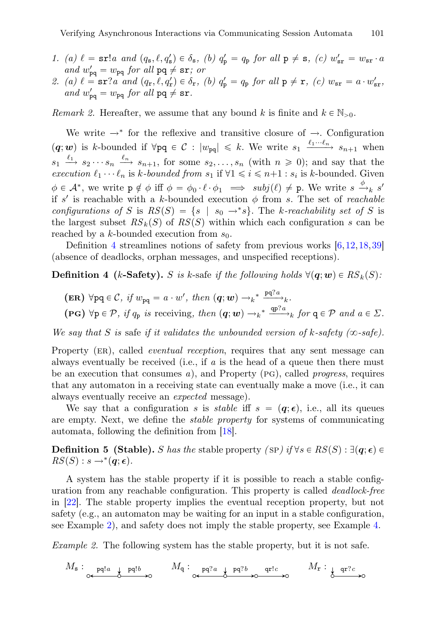- *1.* (a)  $\ell = \text{sr}!a$  and  $(q_s, \ell, q'_s) \in \delta_s$ , (b)  $q'_p = q_p$  for all  $p \neq s$ , (c)  $w'_{sr} = w_{sr} \cdot a$ and  $w'_{pq} = w_{pq}$  for all  $pq \neq sr$ ; or
- 2. (a)  $\ell = \text{sr}$ ?*a and*  $(q_r, \ell, q'_r) \in \delta_r$ , (b)  $q'_p = q_p$  *for all*  $p \neq r$ , (c)  $w_{sr} = a \cdot w'_{sr}$ , and  $w'_{pq} = w_{pq}$  for all  $pq \neq sr$ .

*Remark 2.* Hereafter, we assume that any bound k is finite and  $k \in \mathbb{N}_{>0}$ .

We write  $\rightarrow^*$  for the reflexive and transitive closure of  $\rightarrow$ . Configuration  $(q; w)$  is k-bounded if  $\forall$ pq  $\in C : |w_{pq}| \le k$ . We write  $s_1 \xrightarrow{\ell_1 \cdots \ell_n} s_{n+1}$  when  $s_1 \stackrel{\ell_1}{\longrightarrow} s_2 \cdots s_n \stackrel{\ell_n}{\longrightarrow} s_{n+1}$ , for some  $s_2, \ldots, s_n$  (with  $n \ge 0$ ); and say that the *execution*  $\ell_1 \cdots \ell_n$  is k-bounded from  $s_1$  if  $\forall 1 \leq i \leq n+1 : s_i$  is k-bounded. Given  $\phi \in \mathcal{A}^*$ , we write  $p \notin \phi$  iff  $\phi = \phi_0 \cdot \ell \cdot \phi_1 \implies \text{subj}(\ell) \neq p$ . We write  $s \xrightarrow{\phi} k s'$ if s' is reachable with a k-bounded execution  $\phi$  from s. The set of *reachable configurations of* S is  $RS(S) = \{s \mid s_0 \rightarrow *s\}$ . The k-reachability set of S is the largest subset  $RS_k(S)$  of  $RS(S)$  within which each configuration s can be reached by a k-bounded execution from  $s_0$ .

Definition [4](#page-4-0) streamlines notions of safety from previous works [\[6](#page-17-5)[,12](#page-17-10),[18,](#page-18-6)[39\]](#page-19-11) (absence of deadlocks, orphan messages, and unspecified receptions).

**Definition 4** (k-Safety). S is k-safe if the following holds  $\forall (\mathbf{q}; \mathbf{w}) \in RS_k(S)$ :

- <span id="page-4-0"></span> $(\textbf{ER}) \ \forall \text{pq} \in \mathcal{C}, \text{ if } w_{\text{pq}} = a \cdot w', \text{ then } (\textbf{q}; \textbf{w}) \rightarrow_k^* \frac{\text{pq}^2 a}{\text{qp}^2 a},$
- $(\text{PG})$   $\forall \text{p} \in \mathcal{P}, \text{ if } q_{\text{p}} \text{ is receiving, then } (\textbf{q}; \textbf{w}) \rightarrow_k^* \frac{\text{q}^{2a}}{2}$  for  $\text{q} \in \mathcal{P}$  and  $a \in \Sigma$ .

*We say that* S *is* safe *if it validates the unbounded version of k-safety (* $\infty$ *-safe).* 

Property (er), called *eventual reception*, requires that any sent message can always eventually be received (i.e., if *a* is the head of a queue then there must be an execution that consumes *<sup>a</sup>*), and Property (pg), called *progress*, requires that any automaton in a receiving state can eventually make a move (i.e., it can always eventually receive an *expected* message).

We say that a configuration *s* is *stable* iff  $s = (q, \epsilon)$ , i.e., all its queues are empty. Next, we define the *stable property* for systems of communicating automata, following the definition from [\[18\]](#page-18-6).

**Definition 5 (Stable).** *S has the* stable property *(SP) if*  $\forall s \in RS(S) : \exists (\mathbf{q}; \epsilon) \in RS(S) : s \rightarrow^*(\mathbf{q}; \epsilon)$  $RS(S) : s \rightarrow^{*}(\mathbf{q}; \epsilon)$ *.* 

A system has the stable property if it is possible to reach a stable configuration from any reachable configuration. This property is called *deadlock-free* in [\[22](#page-18-7)]. The stable property implies the eventual reception property, but not safety (e.g., an automaton may be waiting for an input in a stable configuration, see Example [2\)](#page-4-1), and safety does not imply the stable property, see Example [4.](#page-6-0)

<span id="page-4-1"></span>*Example 2.* The following system has the stable property, but it is not safe.

$$
M_{\mathbf{s}}: \underset{\circ \leftarrow \mathbf{p}\mathbf{q}!a \ \underset{\delta}{\downarrow} \ \mathbf{p}\mathbf{q}!b \rightarrow \circlearrowright} M_{\mathbf{q}}: \underset{\circ \leftarrow \mathbf{p}\mathbf{q}?a \ \underset{\delta}{\downarrow} \ \mathbf{p}\mathbf{q}?b \rightarrow \circlearrowleft} \mathbf{q}!c \longrightarrow M_{\mathbf{r}}: \underset{\delta \text{ or } \mathbf{p}?c \rightarrow \circlearrowleft} \circlearrowleft M_{\mathbf{r}}: \underset{\delta \text{ or } \mathbf{p}?c \rightarrow \circlearrowleft} \circlearrowleft M_{\mathbf{p}}: \underset{\delta \text{ or } \mathbf{p}?c \rightarrow \circlearrowleft} \circlearrowleft M_{\mathbf{p}}: \underset{\delta \text{ or } \mathbf{p}?c \rightarrow \circlearrowleft} \circlearrowleft M_{\mathbf{p}}: \underset{\delta \text{ or } \mathbf{p}?c \rightarrow \circlearrowleft} \circlearrowleft M_{\mathbf{p}}: \underset{\delta \text{ or } \mathbf{p}?c \rightarrow \circlearrowleft} \circlearrowleft M_{\mathbf{p}}: \underset{\delta \text{ or } \mathbf{p}?c \rightarrow \circlearrowleft} \circlearrowleft M_{\mathbf{p}}: \underset{\delta \text{ or } \mathbf{p}?c \rightarrow \circlearrowleft} \circlearrowleft M_{\mathbf{p}}: \underset{\delta \text{ or } \mathbf{p}?c \rightarrow \circlearrowleft} \circlearrowleft M_{\mathbf{p}}: \underset{\delta \text{ or } \mathbf{p}?c \rightarrow \circlearrowleft} \circlearrowleft M_{\mathbf{p}}: \underset{\delta \text{ or } \mathbf{p}?c \rightarrow \circlearrowleft} \circlearrowleft M_{\mathbf{p}}: \underset{\delta \text{ or } \mathbf{p}?c \rightarrow \circlearrowleft} \circlearrowleft M_{\mathbf{p}}: \underset{\delta \text{ or } \mathbf{p}?c \rightarrow \circlearrowleft} \circlearrowleft M_{\mathbf{p}}: \underset{\delta \text{ or } \mathbf{p}?c \rightarrow \circlearrowleft} \circlearrowleft M_{\mathbf{p}}: \underset{\delta \text{ or } \mathbf{p}?c \rightarrow \circlearrowleft} \circlearrowleft M_{\mathbf{p}}: \underset{\delta \text{ or } \mathbf{p
$$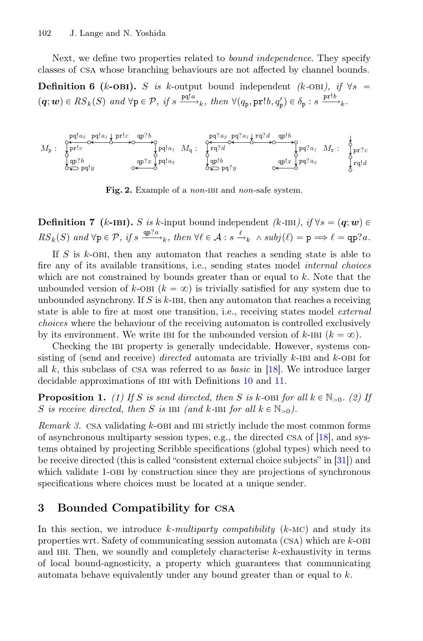Next, we define two properties related to *bound independence*. They specify classes of csa whose branching behaviours are not affected by channel bounds.

**Definition 6 (k-OBI).** S is k-output bound independent (k-OBI), if  $\forall s$  =  $(q; w) \in RS_k(S)$  *and*  $\forall p \in \mathcal{P}$ *, if*  $s \xrightarrow{pq!a} k$ *, then*  $\forall (q_p, pr!b, q'_p) \in \delta_p : s \xrightarrow{pr!b} k$ *.* 



<span id="page-5-2"></span>Fig. 2. Example of a *non*-ibi and *non*-safe system.

**Definition 7** (k-IBI). S is k-input bound independent *(k-IBI), if*  $\forall s = (q; w) \in$  $RS_k(S)$  and  $\forall p \in \mathcal{P}$ , if  $s \stackrel{\text{qp?}a}{\longrightarrow}_k$ , then  $\forall \ell \in \mathcal{A} : s \stackrel{\ell}{\longrightarrow}_k \wedge subj(\ell) = p \implies \ell = \text{qp?}a$ .

If  $S$  is  $k$ -OBI, then any automaton that reaches a sending state is able to fire any of its available transitions, i.e., sending states model *internal choices* which are not constrained by bounds greater than or equal to  $k$ . Note that the unbounded version of k-OBI  $(k = \infty)$  is trivially satisfied for any system due to unbounded asynchrony. If  $S$  is  $k$ -IBI, then any automaton that reaches a receiving state is able to fire at most one transition, i.e., receiving states model *external choices* where the behaviour of the receiving automaton is controlled exclusively by its environment. We write IBI for the unbounded version of  $k$ -IBI  $(k = \infty)$ .

Checking the ibi property is generally undecidable. However, systems consisting of (send and receive) *directed* automata are trivially k-IBI and k-OBI for all <sup>k</sup>, this subclass of csa was referred to as *basic* in [\[18\]](#page-18-6). We introduce larger decidable approximations of IBI with Definitions [10](#page-7-1) and [11.](#page-7-2)

**Proposition 1.** (1) If S is send directed, then S is k-OBI for all  $k \in \mathbb{N}_{>0}$ . (2) If S is receive directed, then S is  $IBI$  *(and k*- $IBI$  *for all*  $k \in \mathbb{N}_{>0}$ *)*.

<span id="page-5-0"></span>*Remark 3.* CSA validating k-OBI and IBI strictly include the most common forms of asynchronous multiparty session types, e.g., the directed csa of [\[18](#page-18-6)], and systems obtained by projecting Scribble specifications (global types) which need to be receive directed (this is called "consistent external choice subjects" in [\[31](#page-18-3)]) and which validate 1-OBI by construction since they are projections of synchronous specifications where choices must be located at a unique sender.

## <span id="page-5-1"></span>3 Bounded Compatibility for csa

In this section, we introduce <sup>k</sup>*-multiparty compatibility* (k-mc) and study its properties wrt. Safety of communicating session automata (csa) which are <sup>k</sup>-obi and ibi. Then, we soundly and completely characterise <sup>k</sup>-exhaustivity in terms of local bound-agnosticity, a property which guarantees that communicating automata behave equivalently under any bound greater than or equal to  $k$ .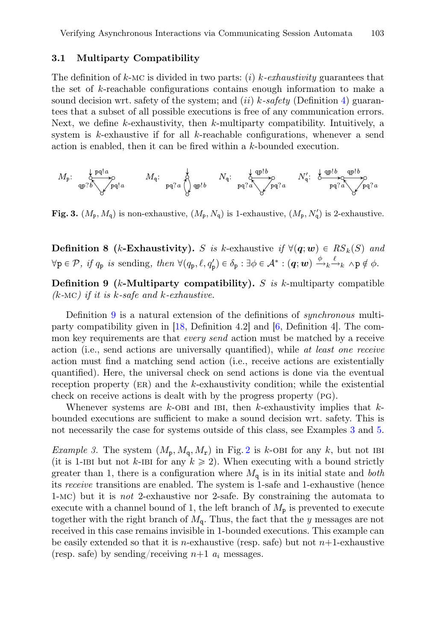#### 3.1 Multiparty Compatibility

The definition of <sup>k</sup>-mc is divided in two parts: (i) <sup>k</sup>*-exhaustivity* guarantees that the set of k-reachable configurations contains enough information to make a sound decision wrt. safety of the system; and *(ii) k-safety* (Definition [4\)](#page-4-0) guarantees that a subset of all possible executions is free of any communication errors. Next, we define  $k$ -exhaustivity, then  $k$ -multiparty compatibility. Intuitively, a system is  $k$ -exhaustive if for all  $k$ -reachable configurations, whenever a send action is enabled, then it can be fired within a k-bounded execution.

$$
M_{\mathbf{p}}\mathpunct{:}\bigotimes_{\mathbf{q}\mathbf{p}\,?\,b} \mathbf{p}\mathbf{q}!a \hspace{1cm} M_{\mathbf{q}}\mathpunct{:}\bigotimes_{\mathbf{p}\mathbf{q}\,?\,a} M_{\mathbf{q}}\mathpunct{:}\bigotimes_{\mathbf{p}\mathbf{q}\,?\,a} \mathbf{p}\mathbf{p}!b \hspace{1cm} N_{\mathbf{q}}\mathpunct{:}\bigotimes_{\mathbf{p}\mathbf{q}\,?\,a} \mathbf{p}\mathbf{q}!a \hspace{1cm} N_{\mathbf{q}}'\mathpunct{:}\bigotimes_{\mathbf{p}\mathbf{q}\,?\,a} \mathbf{q}\mathbf{p}\mathbf{p}!b \hspace{1cm} \mathbf{p}\mathbf{q}!a
$$

<span id="page-6-3"></span>**Fig. 3.**  $(M_p, M_q)$  is non-exhaustive,  $(M_p, N_q)$  is 1-exhaustive,  $(M_p, N'_q)$  is 2-exhaustive.

**Definition 8 (k-Exhaustivity).** S is k-exhaustive if  $\forall (\mathbf{q}; \mathbf{w}) \in RS_k(S)$  and  $\forall p \in \mathcal{P}, \text{ if } q_p \text{ is sending, then } \forall (q_p, \ell, q'_p) \in \delta_p : \exists \phi \in \mathcal{A}^* : (q; w) \xrightarrow{\phi} \kappa \rightarrow_k \wedge p \notin \phi.$ 

<span id="page-6-1"></span>Definition 9 (k-Multiparty compatibility). S *is* k-multiparty compatible *(*k*-*mc*) if it is* <sup>k</sup>*-safe and* <sup>k</sup>*-exhaustive.*

Definition [9](#page-6-1) is a natural extension of the definitions of *synchronous* multiparty compatibility given in [\[18](#page-18-6), Definition 4.2] and [\[6](#page-17-5), Definition 4]. The common key requirements are that *every send* action must be matched by a receive action (i.e., send actions are universally quantified), while *at least one receive* action must find a matching send action (i.e., receive actions are existentially quantified). Here, the universal check on send actions is done via the eventual reception property  $(ER)$  and the k-exhaustivity condition; while the existential check on receive actions is dealt with by the progress property (pg).

Whenever systems are  $k$ -OBI and IBI, then k-exhaustivity implies that  $k$ bounded executions are sufficient to make a sound decision wrt. safety. This is not necessarily the case for systems outside of this class, see Examples [3](#page-6-2) and [5.](#page-7-3)

<span id="page-6-2"></span><span id="page-6-0"></span>*Example 3.* The system  $(M_p, M_q, M_r)$  in Fig. [2](#page-5-2) is k-OBI for any k, but not IBI (it is 1-IBI but not k-IBI for any  $k \ge 2$ ). When executing with a bound strictly greater than 1, there is a configuration where  $M_{q}$  is in its initial state and *both* its *receive* transitions are enabled. The system is 1-safe and 1-exhaustive (hence <sup>1</sup>-mc) but it is *not* <sup>2</sup>-exhaustive nor <sup>2</sup>-safe. By constraining the automata to execute with a channel bound of 1, the left branch of  $M_{\rm p}$  is prevented to execute together with the right branch of Mq. Thus, the fact that the *y* messages are not received in this case remains invisible in 1-bounded executions. This example can be easily extended so that it is *n*-exhaustive (resp. safe) but not  $n+1$ -exhaustive (resp. safe) by sending/receiving  $n+1$   $a_i$  messages.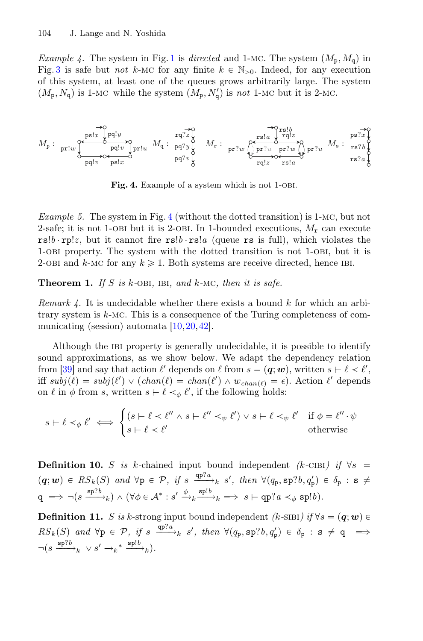*Example 4.* The system in Fig. [1](#page-2-0) is *directed* and 1-MC. The system  $(M_p, M_q)$  in Fig. [3](#page-6-3) is safe but *not* k-MC for any finite  $k \in \mathbb{N}_{>0}$ . Indeed, for any execution of this system, at least one of the queues grows arbitrarily large. The system  $(M_{\rm p}, N_{\rm q})$  is 1-MC while the system  $(M_{\rm p}, N_{\rm q})$  is *not* 1-MC but it is 2-MC.

$$
M_{\mathbf{p}}: \underset{\mathbf{p}\in \mathbb{I}^m}{\underbrace{\operatorname{pr1w}}\underset{\mathbf{p}\in \mathbb{I}^m}{\underbrace{\operatorname{pr2w}}\underset{\mathbf{p}\in \mathbb{I}^m}{\underbrace{\operatorname{pr2w}}\underset{\mathbf{p}\in \mathbb{I}^m}{\operatorname{pr2w}}}} M_{\mathbf{q}}: \underset{\mathbf{p}\in \mathbb{I}^m}{\underbrace{\operatorname{pr2w}}\underset{\mathbf{p}\in \mathbb{I}^m}{\underbrace{\operatorname{pr2w}}\underset{\mathbf{p}\in \mathbb{I}^m}{\underbrace{\operatorname{pr2w}}\underset{\mathbf{p}\in \mathbb{I}^m}{\operatorname{pr2w}}}} M_{\mathbf{p}}: \underset{\mathbf{p}\in \mathbb{I}^m}{\underbrace{\operatorname{pr2w}}}\underset{\mathbf{p}\in \mathbb{I}^m}{\underbrace{\operatorname{pr2w}}}\underset{\mathbf{p}\in \mathbb{I}^m}{\underbrace{\operatorname{pr2w}}}\underset{\mathbf{p}\in \mathbb{I}^m}{\underbrace{\operatorname{pr2w}}}\underset{\mathbf{p}\in \mathbb{I}^m}{\underbrace{\operatorname{pr2w}}}\underset{\mathbf{p}\in \mathbb{I}^m}{\underbrace{\operatorname{pr2w}}}\underset{\mathbf{p}\in \mathbb{I}^m}{\underbrace{\operatorname{pr2w}}}\underset{\mathbf{p}\in \mathbb{I}^m}{\underbrace{\operatorname{pr2w}}}\underset{\mathbf{p}\in \mathbb{I}^m}{\underbrace{\operatorname{pr2w}}}\underset{\mathbf{p}\in \mathbb{I}^m}{\underbrace{\operatorname{pr2w}}}\underset{\mathbf{p}\in \mathbb{I}^m}{\underbrace{\operatorname{pr2w}}}\underset{\mathbf{p}\in \mathbb{I}^m}{\underbrace{\operatorname{pr2w}}}\underset{\mathbf{p}\in \mathbb{I}^m}{\underbrace{\operatorname{pr2w}}}\underset{\mathbf{p}\in \mathbb{I}^m}{\underbrace{\operatorname{pr2w}}}\underset{\mathbf{p}\in \mathbb{I}^m}{\underbrace{\operatorname{pr2w}}}\underset{\mathbf{p}\in \mathbb{I}^m}{\underbrace{\operatorname{pr2w}}}\underset{\mathbf{p}\in \mathbb{I}
$$

<span id="page-7-4"></span>Fig. 4. Example of a system which is not 1-OBI.

<span id="page-7-3"></span>*Example 5.* The system in Fig. [4](#page-7-4) (without the dotted transition) is <sup>1</sup>-mc, but not 2-safe; it is not 1-OBI but it is 2-OBI. In 1-bounded executions,  $M_r$  can execute  $rs!b \cdot rp!z$ , but it cannot fire  $rs!b \cdot rs!a$  (queue rs is full), which violates the <sup>1</sup>-obi property. The system with the dotted transition is not <sup>1</sup>-obi, but it is 2-OBI and k-MC for any  $k \geq 1$ . Both systems are receive directed, hence IBI.

<span id="page-7-0"></span>Theorem 1. *If* <sup>S</sup> *is* <sup>k</sup>*-*obi*,* ibi*, and* <sup>k</sup>*-*mc*, then it is safe.*

*Remark 4.* It is undecidable whether there exists a bound k for which an arbitrary system is <sup>k</sup>-mc. This is a consequence of the Turing completeness of com-municating (session) automata [\[10](#page-17-0), 20, [42\]](#page-19-14).

Although the ibi property is generally undecidable, it is possible to identify sound approximations, as we show below. We adapt the dependency relation from [\[39](#page-19-11)] and say that action  $\ell'$  depends on  $\ell$  from  $s = (\boldsymbol{q}; \boldsymbol{w})$ , written  $s \vdash \ell \lt \ell'$ , iff  $subj(\ell) = subj(\ell') \vee (chan(\ell) = chan(\ell') \wedge w_{chan(\ell)} = \epsilon)$ . Action  $\ell'$  depends on  $\ell$  in  $\phi$  from s, written  $s \vdash \ell \prec_{\phi} \ell'$ , if the following holds:

$$
s \vdash \ell \prec_{\phi} \ell' \iff \begin{cases} (s \vdash \ell \prec \ell'' \land s \vdash \ell'' \prec_{\psi} \ell') \lor s \vdash \ell \prec_{\psi} \ell' & \text{if } \phi = \ell'' \cdot \psi \\ s \vdash \ell \prec \ell' & \text{otherwise} \end{cases}
$$

<span id="page-7-1"></span>**Definition 10.** S is k-chained input bound independent *(k-CIBI)* if  $\forall s$  =  $(q; w) \in RS_k(S)$  and  $\forall p \in \mathcal{P}$ , if  $s \xrightarrow{\text{qp?}a} s'$ , then  $\forall (q_p, sp?b, q'_p) \in \delta_p : s \neq$  $\mathsf{q} \implies \neg(s \xrightarrow{\mathsf{sp}7b} k) \land (\forall \phi \in \mathcal{A}^* : s' \xrightarrow{\phi} k \xrightarrow{\mathsf{sp}1b} k \implies s \vdash \mathsf{qp}?a <_\phi \mathsf{sp}!b).$ 

<span id="page-7-2"></span>**Definition 11.** S is k-strong input bound independent *(k-SIBI)* if  $\forall s = (q; w) \in$  $RS_k(S)$  and  $\forall p \in \mathcal{P}$ , if  $s \xrightarrow{\text{qp?}a} s'$ , then  $\forall (q_p, \text{sp?}b, q'_p) \in \delta_p : s \neq q \implies$  $\neg(s \xrightarrow{\text{sp?}b} k \lor s' \to k^* \xrightarrow{\text{sp!}b} k).$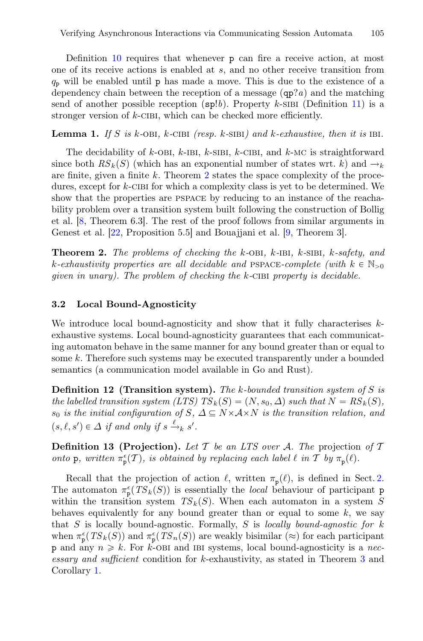Definition [10](#page-7-1) requires that whenever p can fire a receive action, at most one of its receive actions is enabled at s, and no other receive transition from  $q_p$  will be enabled until p has made a move. This is due to the existence of a dependency chain between the reception of a message (qp?*a*) and the matching send of another possible reception  $(\text{sp}!b)$ . Property k-sibi (Definition [11\)](#page-7-2) is a stronger version of  $k$ -CIBI, which can be checked more efficiently.

**Lemma 1.** If S is k-OBI, k-CIBI (resp. k-SIBI) and k-exhaustive, then it is IBI.

The decidability of  $k$ -OBI,  $k$ -IBI,  $k$ -SIBI,  $k$ -CIBI, and  $k$ -MC is straightforward since both  $RS_k(S)$  (which has an exponential number of states wrt. k) and  $\rightarrow_k$ are finite, given a finite  $k$ . Theorem [2](#page-8-1) states the space complexity of the procedures, except for  $k$ -CIBI for which a complexity class is yet to be determined. We show that the properties are pspace by reducing to an instance of the reachability problem over a transition system built following the construction of Bollig et al. [\[8](#page-17-6), Theorem 6.3]. The rest of the proof follows from similar arguments in Genest et al. [\[22](#page-18-7), Proposition 5.5] and Bouajjani et al. [\[9,](#page-17-9) Theorem 3].

<span id="page-8-1"></span>Theorem 2. *The problems of checking the* <sup>k</sup>*-*obi*,* <sup>k</sup>*-*ibi*,* <sup>k</sup>*-*sibi*,* <sup>k</sup>*-safety, and*  $k$ -exhaustivity properties are all decidable and PSPACE-complete (with  $k \in \mathbb{N}_{>0}$ ) *given in unary). The problem of checking the* <sup>k</sup>*-*cibi *property is decidable.*

### 3.2 Local Bound-Agnosticity

We introduce local bound-agnosticity and show that it fully characterises  $k$ exhaustive systems. Local bound-agnosticity guarantees that each communicating automaton behave in the same manner for any bound greater than or equal to some k. Therefore such systems may be executed transparently under a bounded semantics (a communication model available in Go and Rust).

Definition 12 (Transition system). *The* k*-bounded transition system of* S *is the labelled transition system (LTS)*  $TS_k(S) = (N, s_0, \Delta)$  *such that*  $N = RS_k(S)$ *,*  $s_0$  *is the initial configuration of*  $S$ ,  $\Delta \subseteq N \times A \times N$  *is the transition relation, and*  $(s, \ell, s') \in \Delta$  *if and only if*  $s \xrightarrow{\ell} s'$ .

Definition 13 (Projection). *Let* T *be an LTS over* A*. The* projection *of* T *onto* **p***, written*  $\pi_{\mathbf{p}}^{\epsilon}(\mathcal{T})$ *, is obtained by replacing each label*  $\ell$  *in*  $\mathcal{T}$  *by*  $\pi_{\mathbf{p}}(\ell)$ *.* 

<span id="page-8-0"></span>Recall that the projection of action  $\ell$ , written  $\pi_{p}(\ell)$ , is defined in Sect. [2.](#page-2-1) The automaton  $\pi_{\mathbf{p}}^{\epsilon}(TS_k(S))$  is essentially the *local* behaviour of participant p within the transition system  $TS_k(S)$ . When each automaton in a system S behaves equivalently for any bound greater than or equal to some  $k$ , we say that S is locally bound-agnostic. Formally, S is *locally bound-agnostic for* k when  $\pi_{\mathbf{p}}^{\epsilon}(TS_k(S))$  and  $\pi_{\mathbf{p}}^{\epsilon}(TS_n(S))$  are weakly bisimilar (≈) for each participant p and any  $n \geq k$ . For k-OBI and IBI systems, local bound-agnosticity is a *necessary and sufficient* condition for k-exhaustivity, as stated in Theorem [3](#page-8-0) and Corollary [1.](#page-9-1)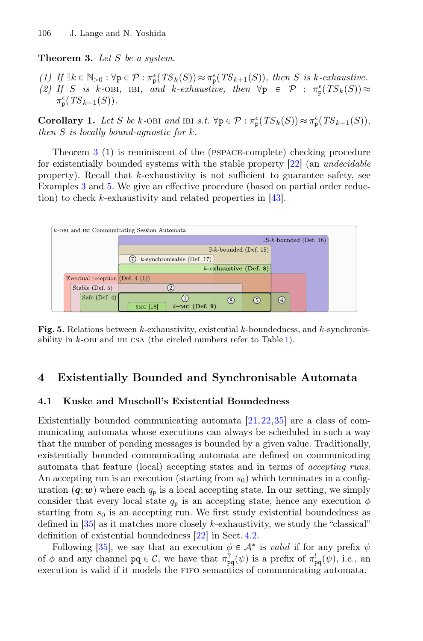#### Theorem 3. *Let* S *be a system.*

 $(1)$  *If*  $\exists k \in \mathbb{N}_{>0} : \forall p \in \mathcal{P} : \pi_p^{\epsilon}(TS_k(S)) \approx \pi_p^{\epsilon}(TS_{k+1}(S)),$  then *S* is k-exhaustive. (2) If S is k-OBI, IBI, and k-exhaustive, then  $\forall p \in \mathcal{P} : \pi_{p}^{\epsilon}(TS_{k}(S)) \approx$ <br> $\pi^{\epsilon}(TS_{k-1}(S))$  $\pi_{\mathbf{p}}^{\epsilon}(TS_{k+1}(S)).$ 

<span id="page-9-1"></span>**Corollary 1.** Let S be k-OBI and IBI s.t.  $\forall p \in \mathcal{P} : \pi_p^{\epsilon}(TS_k(S)) \approx \pi_p^{\epsilon}(TS_{k+1}(S)),$ <br>then S is locally bound-ganastic for k *then* S *is locally bound-agnostic for* k*.*

Theorem [3](#page-8-0) (1) is reminiscent of the (pspace-complete) checking procedure for existentially bounded systems with the stable property [\[22](#page-18-7)] (an *undecidable* property). Recall that  $k$ -exhaustivity is not sufficient to guarantee safety, see Examples [3](#page-6-2) and [5.](#page-7-3) We give an effective procedure (based on partial order reduction) to check k-exhaustivity and related properties in [\[43\]](#page-19-15).



<span id="page-9-2"></span>Fig. 5. Relations between  $k$ -exhaustivity, existential  $k$ -boundedness, and  $k$ -synchronisability in  $k$ -OBI and IBI CSA (the circled numbers refer to Table [1\)](#page-11-0).

## <span id="page-9-0"></span>4 Existentially Bounded and Synchronisable Automata

#### 4.1 Kuske and Muscholl's Existential Boundedness

Existentially bounded communicating automata [\[21](#page-18-8)[,22](#page-18-7)[,35](#page-18-9)] are a class of communicating automata whose executions can always be scheduled in such a way that the number of pending messages is bounded by a given value. Traditionally, existentially bounded communicating automata are defined on communicating automata that feature (local) accepting states and in terms of *accepting runs*. An accepting run is an execution (starting from  $s<sub>0</sub>$ ) which terminates in a configuration  $(q; w)$  where each  $q_p$  is a local accepting state. In our setting, we simply consider that every local state  $q_p$  is an accepting state, hence any execution  $\phi$ starting from  $s_0$  is an accepting run. We first study existential boundedness as defined in  $[35]$  $[35]$  as it matches more closely k-exhaustivity, we study the "classical" definition of existential boundedness [\[22\]](#page-18-7) in Sect. [4.2.](#page-10-0)

Following [\[35](#page-18-9)], we say that an execution  $\phi \in A^*$  is *valid* if for any prefix  $\psi$ of  $\phi$  and any channel  $pq \in \mathcal{C}$ , we have that  $\pi_{pq}^2(\psi)$  is a prefix of  $\pi_{pq}^1(\psi)$ , i.e., an execution is valid if it models the fifo semantics of communicating automata.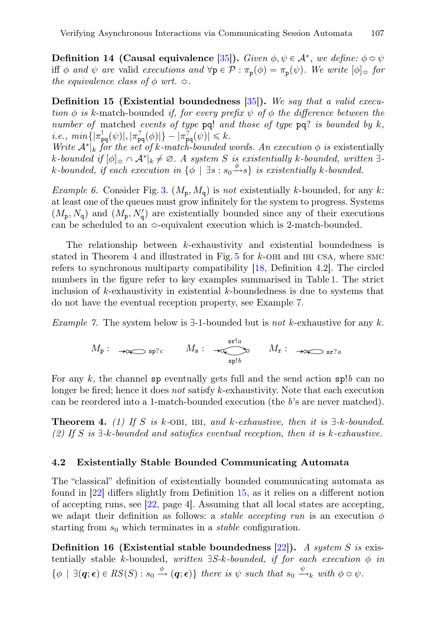**Definition 14 (Causal equivalence** [\[35](#page-18-9)]). *Given*  $\phi, \psi \in A^*$ , we define:  $\phi \approx \psi$ iff  $\phi$  *and*  $\psi$  *are* valid *executions and*  $\forall p \in \mathcal{P} : \pi_p(\phi) = \pi_p(\psi)$ *. We write*  $[\phi]_{\approx}$  *for the equivalence class of*  $\phi$  *wrt.*  $\approx$ .

<span id="page-10-3"></span>Definition 15 (Existential boundedness [\[35\]](#page-18-9)). *We say that a valid execution*  $\phi$  *is* k-match-bounded *if, for every prefix*  $\psi$  *of*  $\phi$  *the difference between the number of* matched *events of type* pq! *and those of type* pq? *is bounded by* k*,*  $i.e., \ min\{|\pi_{pq}^!(\psi)|, |\pi_{pq}^?(\phi)|\} - |\pi_{pq}^?(\psi)| \leq k.$ 

*Write*  $A^*|_k$  *for the set of* k-match-bounded words. An execution  $\phi$  *is* existentially  $k$ -bounded if  $[\phi]_{\approx} \cap \mathcal{A}^*|_k \neq \emptyset$ . A system S is existentially k-bounded, written  $\exists$  $k$ -bounded, if each execution in  $\{\phi \mid \exists s : s_0 \xrightarrow{\phi} s\}$  is existentially  $k$ -bounded.

*Example 6.* Consider Fig. [3.](#page-6-3)  $(M_p, M_q)$  is *not* existentially k-bounded, for any k: at least one of the queues must grow infinitely for the system to progress. Systems  $(M_{\rm p}, N_{\rm q})$  and  $(M_{\rm p}, N_{\rm q})$  are existentially bounded since any of their executions can be scheduled to an  $\Leftrightarrow$ -equivalent execution which is 2-match-bounded.

The relationship between k-exhaustivity and existential boundedness is stated in Theorem  $4$  and illustrated in Fig.  $5$  for  $k$ -OBI and IBI CSA, where SMC refers to synchronous multiparty compatibility [\[18,](#page-18-6) Definition 4.2]. The circled numbers in the figure refer to key examples summarised in Table [1.](#page-11-0) The strict inclusion of  $k$ -exhaustivity in existential  $k$ -boundedness is due to systems that do not have the eventual reception property, see Example [7.](#page-10-2)

<span id="page-10-2"></span>*Example 7.* The system below is  $\exists$ -1-bounded but is *not* k-exhaustive for any k.

$$
M_{\mathbf{p}}: \longrightarrow \infty
$$
 sp?c  $M_{\mathbf{s}}: \longrightarrow \underset{\mathbf{s}\mathbf{p}:b}{\longleftarrow} M_{\mathbf{r}}: \longrightarrow \underset{\mathbf{s}\mathbf{r}:a}{\longleftarrow} \underset{\mathbf{s}\mathbf{r}:a}{\longleftarrow} \longrightarrow \underset{\mathbf{s}\mathbf{r}:a}{\longleftarrow} \underset{\mathbf{s}\mathbf{r}:a}{\longleftarrow} \underset{\mathbf{s}\mathbf{r}:a}{\longleftarrow} \underset{\mathbf{s}\mathbf{r}:a}{\longleftarrow} \underset{\mathbf{s}\mathbf{r}:a}{\longleftarrow} \underset{\mathbf{s}\mathbf{r}:a}{\longleftarrow} \underset{\mathbf{s}\mathbf{r}:a}{\longleftarrow} \underset{\mathbf{s}\mathbf{r}:a}{\longleftarrow} \underset{\mathbf{s}\mathbf{r}:a}{\longleftarrow} \underset{\mathbf{s}\mathbf{r}:a}{\longleftarrow} \underset{\mathbf{s}\mathbf{r}:a}{\longleftarrow} \underset{\mathbf{s}\mathbf{r}:a}{\longleftarrow} \underset{\mathbf{s}\mathbf{r}:a}{\longleftarrow} \underset{\mathbf{s}\mathbf{r}:a}{\longleftarrow} \underset{\mathbf{s}\mathbf{r}:a}{\longleftarrow} \underset{\mathbf{s}\mathbf{r}:a}{\longleftarrow} \underset{\mathbf{s}\mathbf{r}:a}{\longleftarrow} \underset{\mathbf{s}\mathbf{r}:a}{\longleftarrow} \underset{\mathbf{s}\mathbf{r}:a}{\longleftarrow} \underset{\mathbf{s}\mathbf{r}:a}{\longleftarrow} \underset{\mathbf{s}\mathbf{r}:a}{\longleftarrow} \underset{\mathbf{s}\mathbf{r}:a}{\longleftarrow} \underset{\mathbf{s}\mathbf{r}:a}{\longleftarrow} \underset{\mathbf{s}\mathbf{r}:a}{\longleftarrow} \underset{\mathbf{s}\mathbf{r}:a}{\longleftarrow} \underset{\mathbf{s}\mathbf{r}:a}{\longleftarrow} \underset{\mathbf{s}\mathbf{r}:a}{\longleftarrow} \underset{\mathbf{s}\mathbf{r}:a}{\longleftarrow} \underset{\mathbf{s}\mathbf{r}:a}{\longleftarrow} \underset{\mathbf{s}\mathbf{r}:a}{\longleftarrow} \underset{\mathbf{s}\mathbf{r}:a}{\longleftarrow} \underset{\mathbf{s}\mathbf{r}:a}{\longleftarrow} \underset{\mathbf{s}\mathbf{r}:a}{\longleft$ 

For any k, the channel sp eventually gets full and the send action sp!*b* can no longer be fired; hence it does *not* satisfy k-exhaustivity. Note that each execution can be reordered into a 1-match-bounded execution (the *b*'s are never matched).

<span id="page-10-1"></span>**Theorem 4.** (1) If S is k-OBI, IBI, and k-exhaustive, then it is  $\exists$ -k-bounded. *(2) If* S *is* D*-*k*-bounded and satisfies eventual reception, then it is* k*-exhaustive.*

#### <span id="page-10-0"></span>4.2 Existentially Stable Bounded Communicating Automata

The "classical" definition of existentially bounded communicating automata as found in [\[22\]](#page-18-7) differs slightly from Definition [15,](#page-10-3) as it relies on a different notion of accepting runs, see [\[22,](#page-18-7) page 4]. Assuming that all local states are accepting, we adapt their definition as follows: a *stable accepting run* is an execution  $\phi$ starting from  $s_0$  which terminates in a *stable* configuration.

Definition 16 (Existential stable boundedness [\[22\]](#page-18-7)). *A system* S *is* existentially stable k-bounded, written  $\exists S-k$ -bounded, if for each execution  $\phi$  in  $\{\phi \mid \exists (\mathbf{q}; \epsilon) \in RS(S) : s_0 \stackrel{\phi}{\rightarrow} (\mathbf{q}; \epsilon)\}\$  there is  $\psi$  such that  $s_0 \stackrel{\psi}{\rightarrow}_k$  with  $\phi \approx \psi$ .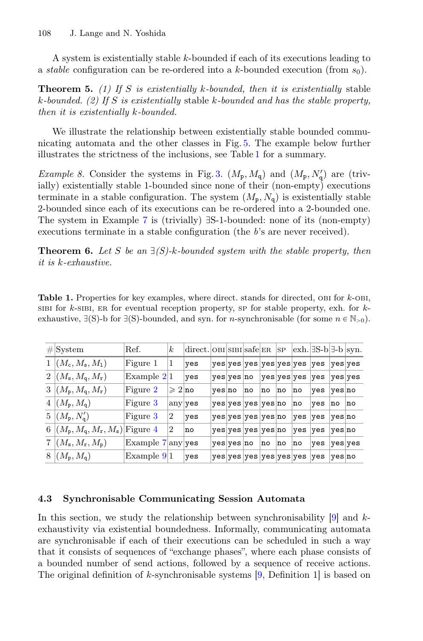A system is existentially stable k-bounded if each of its executions leading to a *stable* configuration can be re-ordered into a k-bounded execution (from  $s_0$ ).

Theorem 5. *(1) If* S *is existentially* k*-bounded, then it is existentially* stable k*-bounded. (2) If* S *is existentially* stable k*-bounded and has the stable property, then it is existentially* k*-bounded.*

We illustrate the relationship between existentially stable bounded communicating automata and the other classes in Fig. [5.](#page-9-2) The example below further illustrates the strictness of the inclusions, see Table [1](#page-11-0) for a summary.

*Example 8.* Consider the systems in Fig. [3.](#page-6-3)  $(M_p, M_q)$  and  $(M_p, N'_q)$  are (trivially) existentially stable 1-bounded since none of their (non-empty) executions terminate in a stable configuration. The system  $(M_p, N_q)$  is existentially stable 2-bounded since each of its executions can be re-ordered into a 2-bounded one. The system in Example [7](#page-10-2) is (trivially)  $\exists S$ -1-bounded: none of its (non-empty) executions terminate in a stable configuration (the *b*'s are never received).

**Theorem 6.** Let *S* be an  $\exists$  *(S)*-k-bounded system with the stable property, then *it is* k*-exhaustive.*

<span id="page-11-0"></span>**Table 1.** Properties for key examples, where direct. stands for directed,  $OBI$  for  $k$ - $OBI$ , SIBI for  $k$ -sibi, er for eventual reception property, sp for stable property, exh. for  $k$ exhaustive,  $\exists$ (S)-b for  $\exists$ (S)-bounded, and syn. for *n*-synchronisable (for some  $n \in \mathbb{N}_{>0}$ ).

| $\#$ System                                    | Ref.                                         | $\boldsymbol{k}$  | direct. OBI SIBI safe ER |        |            |                    |    | SP |                              | $\vert \text{exh.} \vert \exists S\text{-}b \vert \exists \text{-}b \vert \text{syn.}$ |         |    |
|------------------------------------------------|----------------------------------------------|-------------------|--------------------------|--------|------------|--------------------|----|----|------------------------------|----------------------------------------------------------------------------------------|---------|----|
| $1   (M_c, M_s, M_1)$                          | Figure 1                                     | 1                 | yes                      |        |            |                    |    |    | yes yes yes yes yes yes  yes |                                                                                        | yes yes |    |
| $2 (M_{\rm s},M_{\rm q},M_{\rm r})$            | Example $2 1 $                               |                   | yes                      |        | yes yes no |                    |    |    | yes yes yes                  | $ {\rm yes} $                                                                          | yes yes |    |
| $3 (M_{\rm p},M_{\rm q},M_{\rm r})$            | Figure 2                                     | $\geqslant 2$  no |                          | yes no |            | no                 | no | no | no                           | yes                                                                                    | yes no  |    |
| $4 (M_{\rm p},M_{\rm q})$                      | Figure 3                                     | any yes           |                          |        |            | yes yes yes yes no |    |    | no                           | yes                                                                                    | no      | no |
| $5 (M_{\rm p},N_{\rm q}')$                     | Figure 3                                     | $\overline{2}$    | yes                      |        |            | yes yes yes yes no |    |    | yes                          | yes                                                                                    | yes no  |    |
| 6 $ (M_{\rm p},M_{\rm q},M_{\rm r},M_{\rm s})$ | Figure 4                                     | 2                 | no                       |        |            | yes yes yes yes no |    |    | yes                          | yes                                                                                    | yes no  |    |
| $7 (M_{\tt s},M_{\tt r},M_{\tt p})$            | Example $7\vert \text{any} \vert \text{yes}$ |                   |                          |        | yes yes no |                    | no | no | no                           | yes                                                                                    | yesyes  |    |
| $8 (M_{\rm p},M_{\rm q})$                      | Example $9 1$                                |                   | yes                      |        |            |                    |    |    | yes yes yes yes yes yes      | yes                                                                                    | yes no  |    |
|                                                |                                              |                   |                          |        |            |                    |    |    |                              |                                                                                        |         |    |

#### <span id="page-11-1"></span>4.3 Synchronisable Communicating Session Automata

In this section, we study the relationship between synchronisability  $[9]$  and kexhaustivity via existential boundedness. Informally, communicating automata are synchronisable if each of their executions can be scheduled in such a way that it consists of sequences of "exchange phases", where each phase consists of a bounded number of send actions, followed by a sequence of receive actions. The original definition of k-synchronisable systems  $[9,$  Definition 1 is based on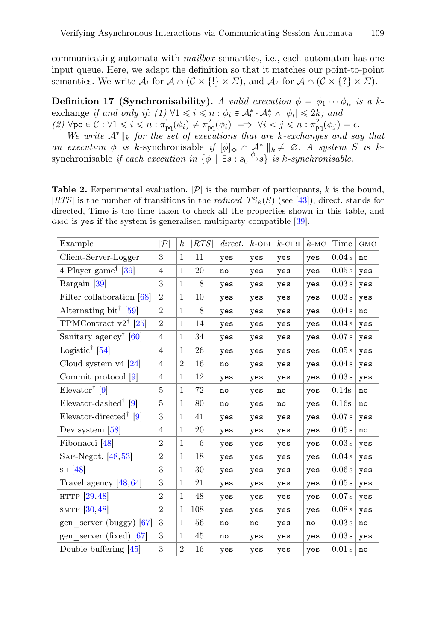communicating automata with *mailbox* semantics, i.e., each automaton has one input queue. Here, we adapt the definition so that it matches our point-to-point semantics. We write  $\mathcal{A}_!$  for  $\mathcal{A} \cap (\mathcal{C} \times \{!\} \times \Sigma)$ , and  $\mathcal{A}_?$  for  $\mathcal{A} \cap (\mathcal{C} \times \{?\} \times \Sigma)$ .

**Definition 17 (Synchronisability).** A valid execution  $\phi = \phi_1 \cdots \phi_n$  is a kexchange *if and only if:*  $(1) \forall 1 \leq i \leq n : \phi_i \in A_i^* \cdot A_i^* \wedge |\phi_i| \leq 2k$ ; and  $(2)$   $\forall$ pq  $\in \mathcal{C}: \forall 1 \leq i \leq n : \pi_{pq}^1(\phi_i) \neq \pi_{pq}^2(\phi_i) \implies \forall i < j \leq n : \pi_{pq}^2(\phi_j) = \epsilon.$ 

*We write*  $A^* \parallel_k$  *for the set of executions that are k-exchanges and say that an execution*  $\phi$  *is* k-synchronisable *if*  $[\phi]_{\cong} \cap \mathcal{A}^* \parallel_k \neq \emptyset$ . A system S is ksynchronisable *if each execution in*  $\{\phi \mid \exists s : s_0 \xrightarrow{\phi} s\}$  *is k-synchronisable.* 

<span id="page-12-0"></span>**Table 2.** Experimental evaluation.  $|\mathcal{P}|$  is the number of participants, k is the bound,  $|RTS|$  is the number of transitions in the *reduced*  $TS_k(S)$  (see [\[43](#page-19-15)]), direct. stands for directed, Time is the time taken to check all the properties shown in this table, and gmc is yes if the system is generalised multiparty compatible [\[39](#page-19-11)].

| Example                                              | $ \mathcal{P} $ | $\boldsymbol{k}$ | RTS | direct. | $k$ -OBI | $k$ -CIBI | $k$ -MC | Time   | <b>GMC</b> |
|------------------------------------------------------|-----------------|------------------|-----|---------|----------|-----------|---------|--------|------------|
| Client-Server-Logger                                 | 3               | $\mathbf{1}$     | 11  | yes     | yes      | yes       | yes     | 0.04s  | no         |
| 4 Player game <sup>†</sup> [39]                      | 4               | 1                | 20  | no      | yes      | yes       | yes     | 0.05 s | yes        |
| Bargain [39]                                         | 3               | $\mathbf{1}$     | 8   | yes     | yes      | yes       | yes     | 0.03 s | yes        |
| Filter collaboration $[68]$                          | $\overline{2}$  | 1                | 10  | yes     | yes      | yes       | yes     | 0.03 s | yes        |
| Alternating bit <sup>†</sup> [59]                    | $\overline{2}$  | 1                | 8   | yes     | yes      | yes       | yes     | 0.04 s | no         |
| TPMContract $v2^{\dagger}$ [25]                      | $\overline{2}$  | $\mathbf{1}$     | 14  | yes     | yes      | yes       | yes     | 0.04 s | yes        |
| Sanitary agency <sup>†</sup> [60]                    | 4               | 1                | 34  | yes     | yes      | yes       | yes     | 0.07 s | yes        |
| Logistic <sup>†</sup> [54]                           | 4               | 1                | 26  | yes     | yes      | yes       | yes     | 0.05 s | yes        |
| Cloud system $v4$ [24]                               | 4               | $\overline{2}$   | 16  | no      | yes      | yes       | yes     | 0.04 s | yes        |
| Commit protocol [9]                                  | 4               | 1                | 12  | yes     | yes      | yes       | yes     | 0.03 s | yes        |
| Elevator <sup>†</sup> [9]                            | 5               | 1                | 72  | no      | yes      | no        | yes     | 0.14s  | no         |
| Elevator-dashed <sup><math>\uparrow</math></sup> [9] | 5               | 1                | 80  | no      | yes      | no        | yes     | 0.16s  | no         |
| Elevator-directed <sup>†</sup> [9]                   | 3               | 1                | 41  | yes     | yes      | yes       | yes     | 0.07 s | yes        |
| Dev system $[58]$                                    | 4               | $\mathbf 1$      | 20  | yes     | yes      | yes       | yes     | 0.05 s | no         |
| Fibonacci <sup>[48]</sup>                            | $\overline{2}$  | $\mathbf{1}$     | 6   | yes     | yes      | yes       | yes     | 0.03 s | yes        |
| $SAP-Negot.$ [48,53]                                 | $\overline{2}$  | $\mathbf{1}$     | 18  | yes     | yes      | yes       | yes     | 0.04 s | yes        |
| SH $[48]$                                            | 3               | $\mathbf{1}$     | 30  | yes     | yes      | yes       | yes     | 0.06 s | yes        |
| Travel agency $[48, 64]$                             | 3               | $\mathbf{1}$     | 21  | yes     | yes      | yes       | yes     | 0.05 s | yes        |
| HTTP [29,48]                                         | $\overline{2}$  | $\mathbf{1}$     | 48  | yes     | yes      | yes       | yes     | 0.07 s | yes        |
| SMTP $[30, 48]$                                      | $\overline{2}$  | $\mathbf{1}$     | 108 | yes     | yes      | yes       | yes     | 0.08 s | yes        |
| gen server (buggy) $[67]$                            | 3               | 1                | 56  | no      | no       | yes       | no      | 0.03 s | no         |
| gen server (fixed) $[67]$                            | 3               | $\mathbf{1}$     | 45  | no      | yes      | yes       | yes     | 0.03 s | yes        |
| Double buffering $[45]$                              | 3               | $\overline{2}$   | 16  | yes     | yes      | yes       | yes     | 0.01 s | no         |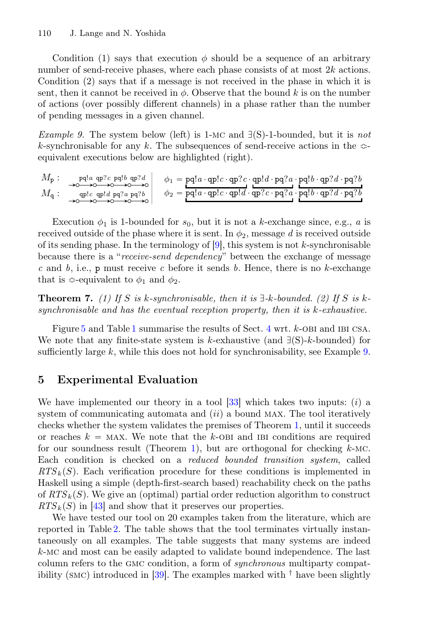Condition (1) says that execution  $\phi$  should be a sequence of an arbitrary number of send-receive phases, where each phase consists of at most  $2k$  actions. Condition (2) says that if a message is not received in the phase in which it is sent, then it cannot be received in  $\phi$ . Observe that the bound k is on the number of actions (over possibly different channels) in a phase rather than the number of pending messages in a given channel.

<span id="page-13-1"></span>*Example 9.* The system below (left) is 1-MC and  $\exists$ (S)-1-bounded, but it is *not* k-synchronisable for any k. The subsequences of send-receive actions in the  $\infty$ equivalent executions below are highlighted (right).

$$
\begin{array}{ccc} M_{\mathbf{p}}: & \underset{\mathbf{p}\in\mathbb{C}^{1}}{\mathop{\rm{ord}}\,} \mathbb{P}^{1}_{\mathbf{p}} \xrightarrow{\mathbf{p}}_{\mathbf{p}} \mathbb{P}^{2}_{\mathbf{p}} \xrightarrow{\mathbf{p}}_{\mathbf{p}} \mathbb{P}^{2}_{\mathbf{p}} \xrightarrow{\mathbf{p}}_{\mathbf{p}} \mathbb{P}^{2}_{\mathbf{p}} \xrightarrow{\mathbf{p}}_{\mathbf{p}} \mathbb{P}^{2}_{\mathbf{p}} \xrightarrow{\mathbf{p}}_{\mathbf{p}} \mathbb{P}^{2}_{\mathbf{p}} \xrightarrow{\mathbf{p}}_{\mathbf{p}} \mathbb{P}^{2}_{\mathbf{p}} \xrightarrow{\mathbf{p}}_{\mathbf{p}} \mathbb{P}^{2}_{\mathbf{p}} \xrightarrow{\mathbf{p}}_{\mathbf{p}} \mathbb{P}^{2}_{\mathbf{p}} \xrightarrow{\mathbf{p}}_{\mathbf{p}} \mathbb{P}^{2}_{\mathbf{p}} \xrightarrow{\mathbf{p}}_{\mathbf{p}} \mathbb{P}^{2}_{\mathbf{p}} \xrightarrow{\mathbf{p}}_{\mathbf{p}} \mathbb{P}^{2}_{\mathbf{p}} \xrightarrow{\mathbf{p}}_{\mathbf{p}} \mathbb{P}^{2}_{\mathbf{p}} \xrightarrow{\mathbf{p}}_{\mathbf{p}} \mathbb{P}^{2}_{\mathbf{p}} \xrightarrow{\mathbf{p}}_{\mathbf{p}} \mathbb{P}^{2}_{\mathbf{p}} \xrightarrow{\mathbf{p}}_{\mathbf{p}} \mathbb{P}^{2}_{\mathbf{p}} \xrightarrow{\mathbf{p}}_{\mathbf{p}} \mathbb{P}^{2}_{\mathbf{p}} \xrightarrow{\mathbf{p}}_{\mathbf{p}} \mathbb{P}^{2}_{\mathbf{p}} \xrightarrow{\mathbf{p}}_{\mathbf{p}} \mathbb{P}^{2}_{\mathbf{p}} \xrightarrow{\mathbf{p}}_{\mathbf{p}} \mathbb{P}^{2}_{\mathbf{p}} \xrightarrow{\mathbf{p}}_{\mathbf{p}} \mathbb{P}^{2}_{\mathbf{p}} \xrightarrow{\mathbf{p}}_{\mathbf{p}} \mathbb{P}^{2}_{\mathbf{p}} \xrightarrow{\mathbf{p}}_{\mathbf{p}} \mathbb{P}^{2}_{\mathbf{p}} \xrightarrow{\mathbf{p}}_{\mathbf{p}}
$$

Execution  $\phi_1$  is 1-bounded for  $s_0$ , but it is not a k-exchange since, e.g., *a* is received outside of the phase where it is sent. In  $\phi_2$ , message d is received outside of its sending phase. In the terminology of  $[9]$  $[9]$ , this system is not k-synchronisable because there is a "*receive-send dependency*" between the exchange of message *c* and *b*, i.e., p must receive *c* before it sends *b*. Hence, there is no k-exchange that is  $\approx$ -equivalent to  $\phi_1$  and  $\phi_2$ .

<span id="page-13-2"></span>**Theorem 7.** (1) If S is k-synchronisable, then it is  $\exists$ -k-bounded. (2) If S is k*synchronisable and has the eventual reception property, then it is* k*-exhaustive.*

Figure [5](#page-9-2) and Table [1](#page-11-0) summarise the results of Sect. [4](#page-9-0) wrt. k-OBI and IBI CSA. We note that any finite-state system is k-exhaustive (and  $\exists (S)$ -k-bounded) for sufficiently large  $k$ , while this does not hold for synchronisability, see Example [9.](#page-13-1)

## <span id="page-13-0"></span>5 Experimental Evaluation

We have implemented our theory in a tool  $[33]$  which takes two inputs: (i) a system of communicating automata and  $(ii)$  a bound MAX. The tool iteratively checks whether the system validates the premises of Theorem [1,](#page-7-0) until it succeeds or reaches  $k = \text{MAX}$ . We note that the k-OBI and IBI conditions are required for our soundness result (Theorem [1\)](#page-7-0), but are orthogonal for checking  $k$ -MC. Each condition is checked on a *reduced bounded transition system*, called  $RTS_k(S)$ . Each verification procedure for these conditions is implemented in Haskell using a simple (depth-first-search based) reachability check on the paths of  $RTS_k(S)$ . We give an (optimal) partial order reduction algorithm to construct  $RTS_k(S)$  in [\[43\]](#page-19-15) and show that it preserves our properties.

We have tested our tool on 20 examples taken from the literature, which are reported in Table [2.](#page-12-0) The table shows that the tool terminates virtually instantaneously on all examples. The table suggests that many systems are indeed <sup>k</sup>-mc and most can be easily adapted to validate bound independence. The last column refers to the gmc condition, a form of *synchronous* multiparty compat-ibility (SMC) introduced in [\[39\]](#page-19-11). The examples marked with  $\dagger$  have been slightly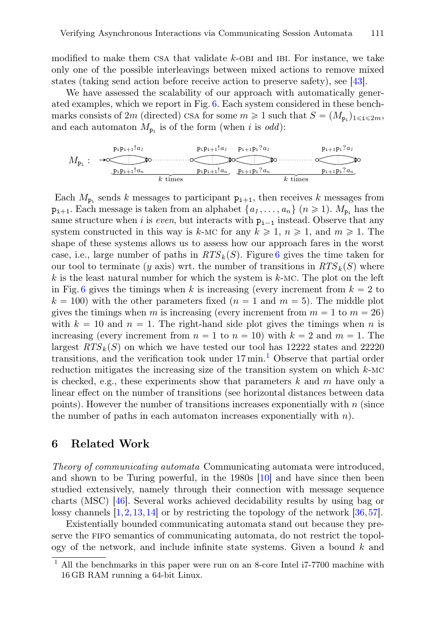modified to make them CSA that validate  $k$ -OBI and IBI. For instance, we take only one of the possible interleavings between mixed actions to remove mixed states (taking send action before receive action to preserve safety), see [\[43\]](#page-19-15).

We have assessed the scalability of our approach with automatically generated examples, which we report in Fig. [6.](#page-15-0) Each system considered in these benchmarks consists of 2m (directed) CSA for some  $m \ge 1$  such that  $S = (M_{p_i})_{1 \le i \le 2m}$ , and each automaton  $M_{p_i}$  is of the form (when i is *odd*):

$$
M_{p_1}: \xrightarrow{\text{p}_{i}p_{i+1}!a_1} \xrightarrow{\text{p}_{i}p_{i+1}!a_1} \xrightarrow{\text{p}_{i}p_{i+1}p_i?a_1} \xrightarrow{\text{p}_{i+1}p_i?a_1} \xrightarrow{\text{p}_{i+1}p_i?a_1} \xrightarrow{\text{p}_{i+1}p_i?a_n} \xrightarrow{\text{p}_{i+1}p_i?a_n}
$$

Each  $M_{p_i}$  sends k messages to participant  $p_{i+1}$ , then receives k messages from  $p_{i+1}$ . Each message is taken from an alphabet  $\{a_1, \ldots, a_n\}$   $(n \geq 1)$ .  $M_{p_i}$  has the same structure when i is *even*, but interacts with  $p_{i-1}$  instead. Observe that any system constructed in this way is k-MC for any  $k \ge 1$ ,  $n \ge 1$ , and  $m \ge 1$ . The shape of these systems allows us to assess how our approach fares in the worst case, i.e., large number of paths in  $RTS_k(S)$ . Figure [6](#page-15-0) gives the time taken for our tool to terminate (y axis) wrt. the number of transitions in  $RTS_k(S)$  where  $k$  is the least natural number for which the system is  $k$ -MC. The plot on the left in Fig. [6](#page-15-0) gives the timings when k is increasing (every increment from  $k = 2$  to  $k = 100$ ) with the other parameters fixed  $(n = 1 \text{ and } m = 5)$ . The middle plot gives the timings when m is increasing (every increment from  $m = 1$  to  $m = 26$ ) with  $k = 10$  and  $n = 1$ . The right-hand side plot gives the timings when n is increasing (every increment from  $n = 1$  to  $n = 10$ ) with  $k = 2$  and  $m = 1$ . The largest  $RTS_k(S)$  on which we have tested our tool has 12222 states and 22220 transitions, and the verification took under  $17 \text{ min}$  $17 \text{ min}$ .<sup>1</sup> Observe that partial order reduction mitigates the increasing size of the transition system on which  $k$ -MC is checked, e.g., these experiments show that parameters  $k$  and  $m$  have only a linear effect on the number of transitions (see horizontal distances between data points). However the number of transitions increases exponentially with  $n$  (since the number of paths in each automaton increases exponentially with  $n$ ).

## <span id="page-14-0"></span>6 Related Work

*Theory of communicating automata* Communicating automata were introduced, and shown to be Turing powerful, in the 1980s [\[10\]](#page-17-0) and have since then been studied extensively, namely through their connection with message sequence charts (MSC) [\[46\]](#page-19-12). Several works achieved decidability results by using bag or lossy channels [\[1](#page-17-11)[,2](#page-17-12)[,13](#page-17-13),[14\]](#page-17-14) or by restricting the topology of the network [\[36,](#page-18-15)[57\]](#page-19-20).

Existentially bounded communicating automata stand out because they preserve the fifo semantics of communicating automata, do not restrict the topology of the network, and include infinite state systems. Given a bound  $k$  and

<span id="page-14-1"></span><sup>1</sup> All the benchmarks in this paper were run on an 8-core Intel i7-7700 machine with 16 GB RAM running a 64-bit Linux.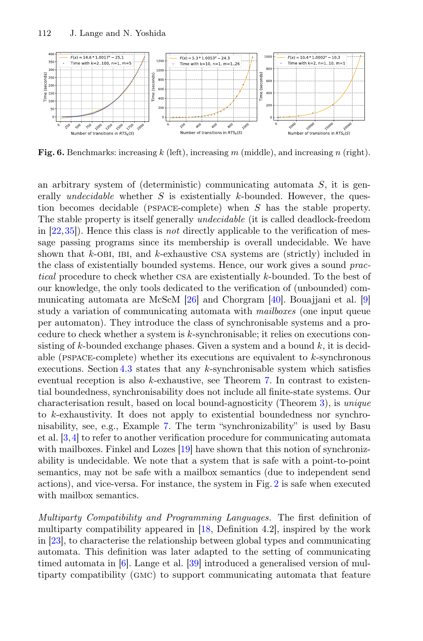

<span id="page-15-0"></span>Fig. 6. Benchmarks: increasing k (left), increasing m (middle), and increasing n (right).

an arbitrary system of (deterministic) communicating automata  $S$ , it is generally *undecidable* whether S is existentially k-bounded. However, the question becomes decidable (pspace-complete) when <sup>S</sup> has the stable property. The stable property is itself generally *undecidable* (it is called deadlock-freedom in [\[22](#page-18-7)[,35](#page-18-9)]). Hence this class is *not* directly applicable to the verification of message passing programs since its membership is overall undecidable. We have shown that  $k$ -OBI, IBI, and  $k$ -exhaustive CSA systems are (strictly) included in the class of existentially bounded systems. Hence, our work gives a sound *practical* procedure to check whether csa are existentially <sup>k</sup>-bounded. To the best of our knowledge, the only tools dedicated to the verification of (unbounded) communicating automata are McScM [\[26](#page-18-16)] and Chorgram [\[40\]](#page-19-21). Bouajjani et al. [\[9](#page-17-9)] study a variation of communicating automata with *mailboxes* (one input queue per automaton). They introduce the class of synchronisable systems and a procedure to check whether a system is k-synchronisable; it relies on executions consisting of k-bounded exchange phases. Given a system and a bound  $k$ , it is decidable (PSPACE-complete) whether its executions are equivalent to  $k$ -synchronous executions. Section  $4.3$  states that any k-synchronisable system which satisfies eventual reception is also k-exhaustive, see Theorem [7.](#page-13-2) In contrast to existential boundedness, synchronisability does not include all finite-state systems. Our characterisation result, based on local bound-agnosticity (Theorem [3\)](#page-8-0), is *unique* to k-exhaustivity. It does not apply to existential boundedness nor synchronisability, see, e.g., Example [7.](#page-10-2) The term "synchronizability" is used by Basu et al. [\[3,](#page-17-15)[4\]](#page-17-16) to refer to another verification procedure for communicating automata with mailboxes. Finkel and Lozes [\[19\]](#page-18-17) have shown that this notion of synchronizability is undecidable. We note that a system that is safe with a point-to-point semantics, may not be safe with a mailbox semantics (due to independent send actions), and vice-versa. For instance, the system in Fig. [2](#page-5-2) is safe when executed with mailbox semantics.

*Multiparty Compatibility and Programming Languages.* The first definition of multiparty compatibility appeared in [\[18,](#page-18-6) Definition 4.2], inspired by the work in [\[23](#page-18-18)], to characterise the relationship between global types and communicating automata. This definition was later adapted to the setting of communicating timed automata in [\[6](#page-17-5)]. Lange et al. [\[39\]](#page-19-11) introduced a generalised version of multiparty compatibility (gmc) to support communicating automata that feature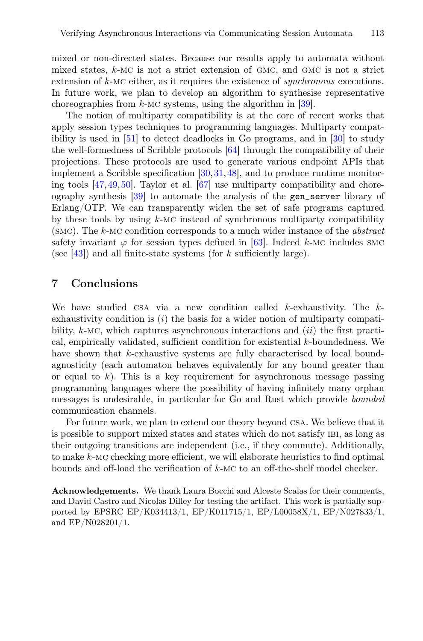mixed or non-directed states. Because our results apply to automata without mixed states,  $k$ -MC is not a strict extension of GMC, and GMC is not a strict extension of <sup>k</sup>-mc either, as it requires the existence of *synchronous* executions. In future work, we plan to develop an algorithm to synthesise representative choreographies from  $k$ -MC systems, using the algorithm in [\[39\]](#page-19-11).

The notion of multiparty compatibility is at the core of recent works that apply session types techniques to programming languages. Multiparty compatibility is used in [\[51](#page-19-6)] to detect deadlocks in Go programs, and in [\[30](#page-18-2)] to study the well-formedness of Scribble protocols [\[64\]](#page-20-9) through the compatibility of their projections. These protocols are used to generate various endpoint APIs that implement a Scribble specification [\[30,](#page-18-2)[31](#page-18-3)[,48](#page-19-3)], and to produce runtime monitoring tools  $[47, 49, 50]$  $[47, 49, 50]$  $[47, 49, 50]$ . Taylor et al.  $[67]$  use multiparty compatibility and choreography synthesis [\[39\]](#page-19-11) to automate the analysis of the gen\_server library of Erlang/OTP. We can transparently widen the set of safe programs captured by these tools by using  $k$ -MC instead of synchronous multiparty compatibility (smc). The <sup>k</sup>-mc condition corresponds to a much wider instance of the *abstract* safety invariant  $\varphi$  for session types defined in [\[63](#page-20-5)]. Indeed k-MC includes SMC (see [\[43](#page-19-15)]) and all finite-state systems (for  $k$  sufficiently large).

## <span id="page-16-0"></span>7 Conclusions

We have studied CSA via a new condition called  $k$ -exhaustivity. The  $k$ exhaustivity condition is  $(i)$  the basis for a wider notion of multiparty compatibility,  $k$ -MC, which captures asynchronous interactions and  $(ii)$  the first practical, empirically validated, sufficient condition for existential k-boundedness. We have shown that k-exhaustive systems are fully characterised by local boundagnosticity (each automaton behaves equivalently for any bound greater than or equal to  $k$ ). This is a key requirement for asynchronous message passing programming languages where the possibility of having infinitely many orphan messages is undesirable, in particular for Go and Rust which provide *bounded* communication channels.

For future work, we plan to extend our theory beyond csa. We believe that it is possible to support mixed states and states which do not satisfy ibi, as long as their outgoing transitions are independent (i.e., if they commute). Additionally, to make <sup>k</sup>-mc checking more efficient, we will elaborate heuristics to find optimal bounds and off-load the verification of <sup>k</sup>-mc to an off-the-shelf model checker.

Acknowledgements. We thank Laura Bocchi and Alceste Scalas for their comments, and David Castro and Nicolas Dilley for testing the artifact. This work is partially supported by EPSRC EP/K034413/1, EP/K011715/1, EP/L00058X/1, EP/N027833/1, and EP/N028201/1.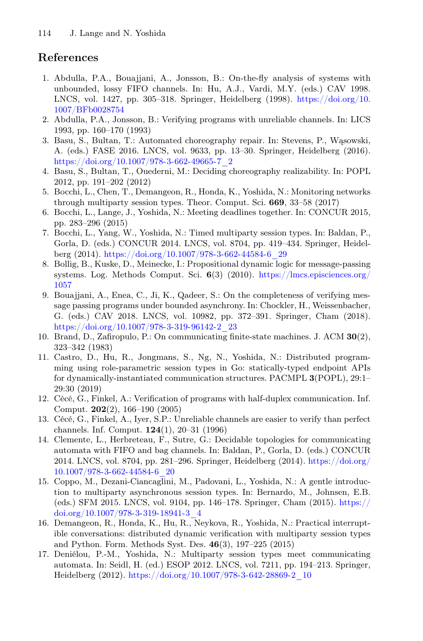# References

- <span id="page-17-11"></span>1. Abdulla, P.A., Bouajjani, A., Jonsson, B.: On-the-fly analysis of systems with unbounded, lossy FIFO channels. In: Hu, A.J., Vardi, M.Y. (eds.) CAV 1998. LNCS, vol. 1427, pp. 305–318. Springer, Heidelberg (1998). [https://doi.org/10.](https://doi.org/10.1007/BFb0028754) [1007/BFb0028754](https://doi.org/10.1007/BFb0028754)
- <span id="page-17-12"></span>2. Abdulla, P.A., Jonsson, B.: Verifying programs with unreliable channels. In: LICS 1993, pp. 160–170 (1993)
- <span id="page-17-15"></span>3. Basu, S., Bultan, T.: Automated choreography repair. In: Stevens, P., Wąsowski, A. (eds.) FASE 2016. LNCS, vol. 9633, pp. 13–30. Springer, Heidelberg (2016). [https://doi.org/10.1007/978-3-662-49665-7\\_2](https://doi.org/10.1007/978-3-662-49665-7_2)
- <span id="page-17-16"></span>4. Basu, S., Bultan, T., Ouederni, M.: Deciding choreography realizability. In: POPL 2012, pp. 191–202 (2012)
- <span id="page-17-4"></span>5. Bocchi, L., Chen, T., Demangeon, R., Honda, K., Yoshida, N.: Monitoring networks through multiparty session types. Theor. Comput. Sci. 669, 33–58 (2017)
- <span id="page-17-5"></span>6. Bocchi, L., Lange, J., Yoshida, N.: Meeting deadlines together. In: CONCUR 2015, pp. 283–296 (2015)
- <span id="page-17-8"></span>7. Bocchi, L., Yang, W., Yoshida, N.: Timed multiparty session types. In: Baldan, P., Gorla, D. (eds.) CONCUR 2014. LNCS, vol. 8704, pp. 419–434. Springer, Heidelberg (2014). [https://doi.org/10.1007/978-3-662-44584-6\\_29](https://doi.org/10.1007/978-3-662-44584-6_29)
- <span id="page-17-6"></span>8. Bollig, B., Kuske, D., Meinecke, I.: Propositional dynamic logic for message-passing systems. Log. Methods Comput. Sci.  $6(3)$  (2010). [https://lmcs.episciences.org/](https://lmcs.episciences.org/1057) [1057](https://lmcs.episciences.org/1057)
- <span id="page-17-9"></span>9. Bouajjani, A., Enea, C., Ji, K., Qadeer, S.: On the completeness of verifying message passing programs under bounded asynchrony. In: Chockler, H., Weissenbacher, G. (eds.) CAV 2018. LNCS, vol. 10982, pp. 372–391. Springer, Cham (2018). [https://doi.org/10.1007/978-3-319-96142-2\\_23](https://doi.org/10.1007/978-3-319-96142-2_23)
- <span id="page-17-0"></span>10. Brand, D., Zafiropulo, P.: On communicating finite-state machines. J. ACM 30(2), 323–342 (1983)
- <span id="page-17-1"></span>11. Castro, D., Hu, R., Jongmans, S., Ng, N., Yoshida, N.: Distributed programming using role-parametric session types in Go: statically-typed endpoint APIs for dynamically-instantiated communication structures. PACMPL 3(POPL), 29:1– 29:30 (2019)
- <span id="page-17-10"></span>12. Cécé, G., Finkel, A.: Verification of programs with half-duplex communication. Inf. Comput. 202(2), 166–190 (2005)
- <span id="page-17-13"></span>13. Cécé, G., Finkel, A., Iyer, S.P.: Unreliable channels are easier to verify than perfect channels. Inf. Comput. 124(1), 20–31 (1996)
- <span id="page-17-14"></span>14. Clemente, L., Herbreteau, F., Sutre, G.: Decidable topologies for communicating automata with FIFO and bag channels. In: Baldan, P., Gorla, D. (eds.) CONCUR 2014. LNCS, vol. 8704, pp. 281–296. Springer, Heidelberg (2014). [https://doi.org/](https://doi.org/10.1007/978-3-662-44584-6_20) [10.1007/978-3-662-44584-6\\_20](https://doi.org/10.1007/978-3-662-44584-6_20)
- <span id="page-17-7"></span>15. Coppo, M., Dezani-Ciancaglini, M., Padovani, L., Yoshida, N.: A gentle introduction to multiparty asynchronous session types. In: Bernardo, M., Johnsen, E.B. (eds.) SFM 2015. LNCS, vol. 9104, pp. 146–178. Springer, Cham (2015). [https://](https://doi.org/10.1007/978-3-319-18941-3_4) [doi.org/10.1007/978-3-319-18941-3\\_4](https://doi.org/10.1007/978-3-319-18941-3_4)
- <span id="page-17-2"></span>16. Demangeon, R., Honda, K., Hu, R., Neykova, R., Yoshida, N.: Practical interruptible conversations: distributed dynamic verification with multiparty session types and Python. Form. Methods Syst. Des. 46(3), 197–225 (2015)
- <span id="page-17-3"></span>17. Deniélou, P.-M., Yoshida, N.: Multiparty session types meet communicating automata. In: Seidl, H. (ed.) ESOP 2012. LNCS, vol. 7211, pp. 194–213. Springer, Heidelberg (2012). [https://doi.org/10.1007/978-3-642-28869-2\\_10](https://doi.org/10.1007/978-3-642-28869-2_10)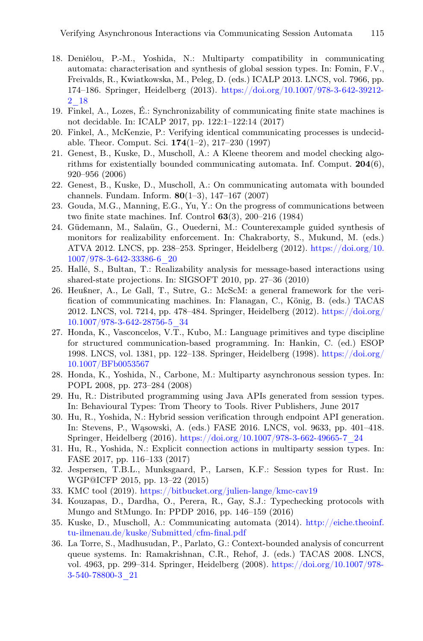- <span id="page-18-6"></span>18. Deniélou, P.-M., Yoshida, N.: Multiparty compatibility in communicating automata: characterisation and synthesis of global session types. In: Fomin, F.V., Freivalds, R., Kwiatkowska, M., Peleg, D. (eds.) ICALP 2013. LNCS, vol. 7966, pp. 174–186. Springer, Heidelberg (2013). [https://doi.org/10.1007/978-3-642-39212-](https://doi.org/10.1007/978-3-642-39212-2_18) [2\\_18](https://doi.org/10.1007/978-3-642-39212-2_18)
- <span id="page-18-17"></span>19. Finkel, A., Lozes, É.: Synchronizability of communicating finite state machines is not decidable. In: ICALP 2017, pp. 122:1–122:14 (2017)
- <span id="page-18-11"></span>20. Finkel, A., McKenzie, P.: Verifying identical communicating processes is undecidable. Theor. Comput. Sci. 174(1–2), 217–230 (1997)
- <span id="page-18-8"></span>21. Genest, B., Kuske, D., Muscholl, A.: A Kleene theorem and model checking algorithms for existentially bounded communicating automata. Inf. Comput.  $204(6)$ , 920–956 (2006)
- <span id="page-18-7"></span>22. Genest, B., Kuske, D., Muscholl, A.: On communicating automata with bounded channels. Fundam. Inform. 80(1–3), 147–167 (2007)
- <span id="page-18-18"></span>23. Gouda, M.G., Manning, E.G., Yu, Y.: On the progress of communications between two finite state machines. Inf. Control 63(3), 200–216 (1984)
- <span id="page-18-13"></span>24. Güdemann, M., Salaün, G., Ouederni, M.: Counterexample guided synthesis of monitors for realizability enforcement. In: Chakraborty, S., Mukund, M. (eds.) ATVA 2012. LNCS, pp. 238–253. Springer, Heidelberg (2012). [https://doi.org/10.](https://doi.org/10.1007/978-3-642-33386-6_20) [1007/978-3-642-33386-6\\_20](https://doi.org/10.1007/978-3-642-33386-6_20)
- <span id="page-18-12"></span>25. Hallé, S., Bultan, T.: Realizability analysis for message-based interactions using shared-state projections. In: SIGSOFT 2010, pp. 27–36 (2010)
- <span id="page-18-16"></span>26. Heußner, A., Le Gall, T., Sutre, G.: McScM: a general framework for the verification of communicating machines. In: Flanagan, C., König, B. (eds.) TACAS 2012. LNCS, vol. 7214, pp. 478–484. Springer, Heidelberg (2012). [https://doi.org/](https://doi.org/10.1007/978-3-642-28756-5_34) [10.1007/978-3-642-28756-5\\_34](https://doi.org/10.1007/978-3-642-28756-5_34)
- <span id="page-18-1"></span>27. Honda, K., Vasconcelos, V.T., Kubo, M.: Language primitives and type discipline for structured communication-based programming. In: Hankin, C. (ed.) ESOP 1998. LNCS, vol. 1381, pp. 122–138. Springer, Heidelberg (1998). [https://doi.org/](https://doi.org/10.1007/BFb0053567) [10.1007/BFb0053567](https://doi.org/10.1007/BFb0053567)
- <span id="page-18-0"></span>28. Honda, K., Yoshida, N., Carbone, M.: Multiparty asynchronous session types. In: POPL 2008, pp. 273–284 (2008)
- <span id="page-18-14"></span>29. Hu, R.: Distributed programming using Java APIs generated from session types. In: Behavioural Types: Trom Theory to Tools. River Publishers, June 2017
- <span id="page-18-2"></span>30. Hu, R., Yoshida, N.: Hybrid session verification through endpoint API generation. In: Stevens, P., Wąsowski, A. (eds.) FASE 2016. LNCS, vol. 9633, pp. 401–418. Springer, Heidelberg (2016). [https://doi.org/10.1007/978-3-662-49665-7\\_24](https://doi.org/10.1007/978-3-662-49665-7_24)
- <span id="page-18-3"></span>31. Hu, R., Yoshida, N.: Explicit connection actions in multiparty session types. In: FASE 2017, pp. 116–133 (2017)
- <span id="page-18-5"></span>32. Jespersen, T.B.L., Munksgaard, P., Larsen, K.F.: Session types for Rust. In: WGP@ICFP 2015, pp. 13–22 (2015)
- <span id="page-18-10"></span>33. KMC tool (2019). <https://bitbucket.org/julien-lange/kmc-cav19>
- <span id="page-18-4"></span>34. Kouzapas, D., Dardha, O., Perera, R., Gay, S.J.: Typechecking protocols with Mungo and StMungo. In: PPDP 2016, pp. 146–159 (2016)
- <span id="page-18-9"></span>35. Kuske, D., Muscholl, A.: Communicating automata (2014). [http://eiche.theoinf.](http://eiche.theoinf.tu-ilmenau.de/kuske/Submitted/cfm-final.pdf) [tu-ilmenau.de/kuske/Submitted/cfm-final.pdf](http://eiche.theoinf.tu-ilmenau.de/kuske/Submitted/cfm-final.pdf)
- <span id="page-18-15"></span>36. La Torre, S., Madhusudan, P., Parlato, G.: Context-bounded analysis of concurrent queue systems. In: Ramakrishnan, C.R., Rehof, J. (eds.) TACAS 2008. LNCS, vol. 4963, pp. 299–314. Springer, Heidelberg (2008). [https://doi.org/10.1007/978-](https://doi.org/10.1007/978-3-540-78800-3_21) [3-540-78800-3\\_21](https://doi.org/10.1007/978-3-540-78800-3_21)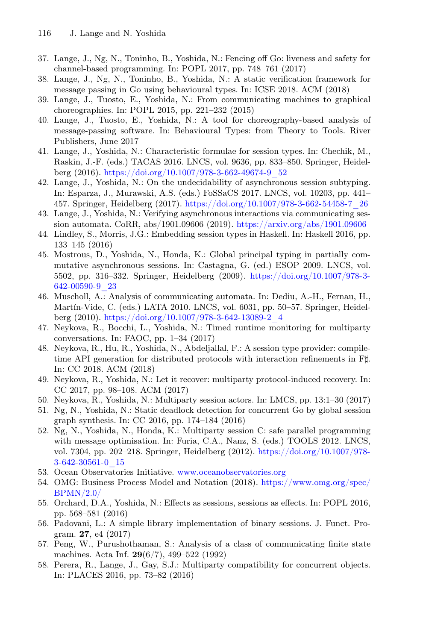- <span id="page-19-4"></span>37. Lange, J., Ng, N., Toninho, B., Yoshida, N.: Fencing off Go: liveness and safety for channel-based programming. In: POPL 2017, pp. 748–761 (2017)
- <span id="page-19-5"></span>38. Lange, J., Ng, N., Toninho, B., Yoshida, N.: A static verification framework for message passing in Go using behavioural types. In: ICSE 2018. ACM (2018)
- <span id="page-19-11"></span>39. Lange, J., Tuosto, E., Yoshida, N.: From communicating machines to graphical choreographies. In: POPL 2015, pp. 221–232 (2015)
- <span id="page-19-21"></span>40. Lange, J., Tuosto, E., Yoshida, N.: A tool for choreography-based analysis of message-passing software. In: Behavioural Types: from Theory to Tools. River Publishers, June 2017
- <span id="page-19-13"></span>41. Lange, J., Yoshida, N.: Characteristic formulae for session types. In: Chechik, M., Raskin, J.-F. (eds.) TACAS 2016. LNCS, vol. 9636, pp. 833–850. Springer, Heidelberg (2016). [https://doi.org/10.1007/978-3-662-49674-9\\_52](https://doi.org/10.1007/978-3-662-49674-9_52)
- <span id="page-19-14"></span>42. Lange, J., Yoshida, N.: On the undecidability of asynchronous session subtyping. In: Esparza, J., Murawski, A.S. (eds.) FoSSaCS 2017. LNCS, vol. 10203, pp. 441– 457. Springer, Heidelberg (2017). [https://doi.org/10.1007/978-3-662-54458-7\\_26](https://doi.org/10.1007/978-3-662-54458-7_26)
- <span id="page-19-15"></span>43. Lange, J., Yoshida, N.: Verifying asynchronous interactions via communicating session automata. CoRR, abs/1901.09606 (2019). <https://arxiv.org/abs/1901.09606>
- <span id="page-19-0"></span>44. Lindley, S., Morris, J.G.: Embedding session types in Haskell. In: Haskell 2016, pp. 133–145 (2016)
- <span id="page-19-19"></span>45. Mostrous, D., Yoshida, N., Honda, K.: Global principal typing in partially commutative asynchronous sessions. In: Castagna, G. (ed.) ESOP 2009. LNCS, vol. 5502, pp. 316–332. Springer, Heidelberg (2009). [https://doi.org/10.1007/978-3-](https://doi.org/10.1007/978-3-642-00590-9_23) [642-00590-9\\_23](https://doi.org/10.1007/978-3-642-00590-9_23)
- <span id="page-19-12"></span>46. Muscholl, A.: Analysis of communicating automata. In: Dediu, A.-H., Fernau, H., Martín-Vide, C. (eds.) LATA 2010. LNCS, vol. 6031, pp. 50–57. Springer, Heidelberg (2010). [https://doi.org/10.1007/978-3-642-13089-2\\_4](https://doi.org/10.1007/978-3-642-13089-2_4)
- <span id="page-19-9"></span>47. Neykova, R., Bocchi, L., Yoshida, N.: Timed runtime monitoring for multiparty conversations. In: FAOC, pp. 1–34 (2017)
- <span id="page-19-3"></span>48. Neykova, R., Hu, R., Yoshida, N., Abdeljallal, F.: A session type provider: compiletime API generation for distributed protocols with interaction refinements in Ft. In: CC 2018. ACM (2018)
- <span id="page-19-2"></span>49. Neykova, R., Yoshida, N.: Let it recover: multiparty protocol-induced recovery. In: CC 2017, pp. 98–108. ACM (2017)
- <span id="page-19-10"></span>50. Neykova, R., Yoshida, N.: Multiparty session actors. In: LMCS, pp. 13:1–30 (2017)
- <span id="page-19-6"></span>51. Ng, N., Yoshida, N.: Static deadlock detection for concurrent Go by global session graph synthesis. In: CC 2016, pp. 174–184 (2016)
- <span id="page-19-8"></span>52. Ng, N., Yoshida, N., Honda, K.: Multiparty session C: safe parallel programming with message optimisation. In: Furia, C.A., Nanz, S. (eds.) TOOLS 2012. LNCS, vol. 7304, pp. 202–218. Springer, Heidelberg (2012). [https://doi.org/10.1007/978-](https://doi.org/10.1007/978-3-642-30561-0_15) [3-642-30561-0\\_15](https://doi.org/10.1007/978-3-642-30561-0_15)
- <span id="page-19-18"></span>53. Ocean Observatories Initiative. <www.oceanobservatories.org>
- <span id="page-19-16"></span>54. OMG: Business Process Model and Notation (2018). [https://www.omg.org/spec/](https://www.omg.org/spec/BPMN/2.0/) [BPMN/2.0/](https://www.omg.org/spec/BPMN/2.0/)
- <span id="page-19-1"></span>55. Orchard, D.A., Yoshida, N.: Effects as sessions, sessions as effects. In: POPL 2016, pp. 568–581 (2016)
- <span id="page-19-7"></span>56. Padovani, L.: A simple library implementation of binary sessions. J. Funct. Program. 27, e4 (2017)
- <span id="page-19-20"></span>57. Peng, W., Purushothaman, S.: Analysis of a class of communicating finite state machines. Acta Inf. 29(6/7), 499–522 (1992)
- <span id="page-19-17"></span>58. Perera, R., Lange, J., Gay, S.J.: Multiparty compatibility for concurrent objects. In: PLACES 2016, pp. 73–82 (2016)